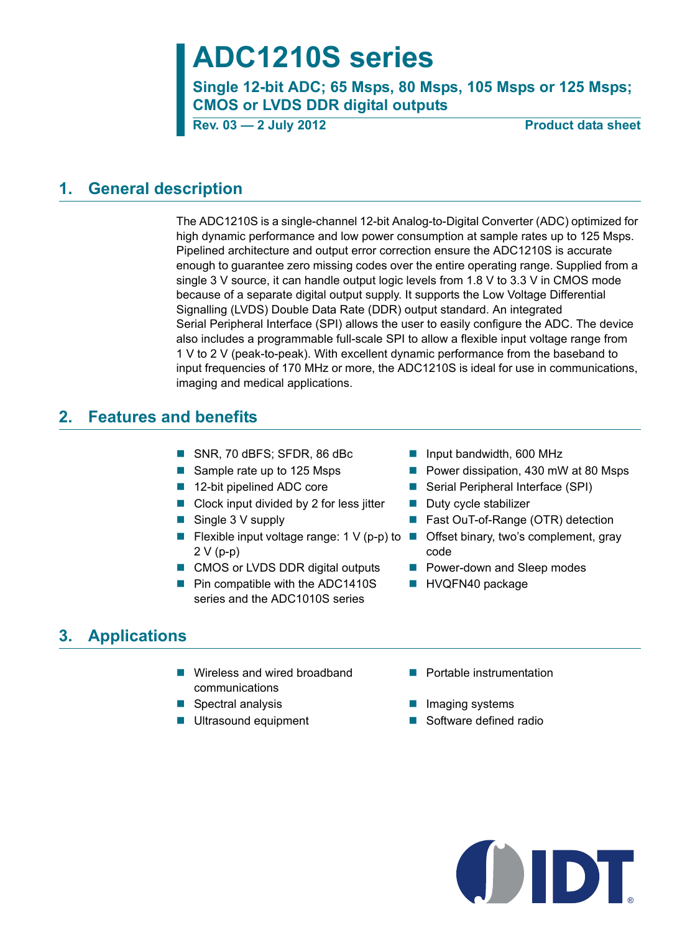# **ADC1210S series**

**Single 12-bit ADC; 65 Msps, 80 Msps, 105 Msps or 125 Msps; CMOS or LVDS DDR digital outputs**

**Rev. 03 - 2 July 2012** Product data sheet

## **1. General description**

The ADC1210S is a single-channel 12-bit Analog-to-Digital Converter (ADC) optimized for high dynamic performance and low power consumption at sample rates up to 125 Msps. Pipelined architecture and output error correction ensure the ADC1210S is accurate enough to guarantee zero missing codes over the entire operating range. Supplied from a single 3 V source, it can handle output logic levels from 1.8 V to 3.3 V in CMOS mode because of a separate digital output supply. It supports the Low Voltage Differential Signalling (LVDS) Double Data Rate (DDR) output standard. An integrated Serial Peripheral Interface (SPI) allows the user to easily configure the ADC. The device also includes a programmable full-scale SPI to allow a flexible input voltage range from 1 V to 2 V (peak-to-peak). With excellent dynamic performance from the baseband to input frequencies of 170 MHz or more, the ADC1210S is ideal for use in communications, imaging and medical applications.

## **2. Features and benefits**

- SNR, 70 dBFS; SFDR, 86 dBc Input bandwidth, 600 MHz
- 
- 
- $\Box$  Clock input divided by 2 for less jitter  $\Box$  Duty cycle stabilizer
- 
- **Figure 1** Flexible input voltage range:  $1 \vee (p-p)$  to **Figure 1** Offset binary, two's complement, gray 2 V (p-p)
- CMOS or LVDS DDR digital outputs Power-down and Sleep modes
- **Pin compatible with the ADC1410S** series and the ADC1010S series
- 
- Sample rate up to 125 Msps Power dissipation, 430 mW at 80 Msps
- 12-bit pipelined ADC core Serial Peripheral Interface (SPI)
	-
- Single 3 V supply **Fast OuT-of-Range (OTR) detection** 
	- code
	-
	- **HVQFN40 package**

## **3. Applications**

- Wireless and wired broadband communications
- Spectral analysis Imaging systems
- 
- **Portable instrumentation**
- 
- Ultrasound equipment Software defined radio

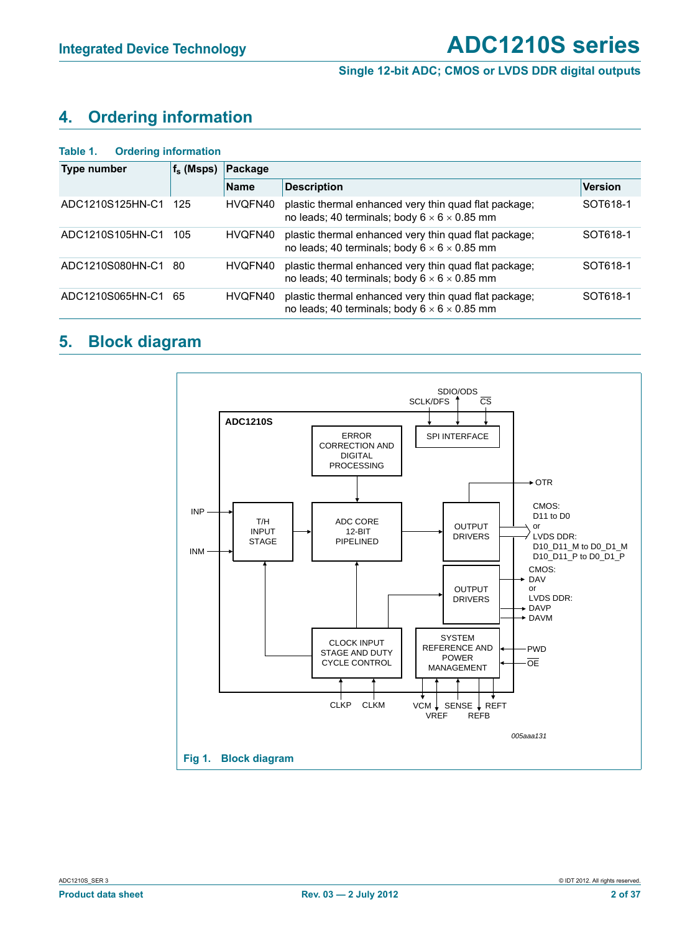## **4. Ordering information**

#### **Table 1. Ordering information**

| <b>Type number</b> | $f_s$ (Msps) | Package     |                                                                                                                   |                |  |  |  |  |  |
|--------------------|--------------|-------------|-------------------------------------------------------------------------------------------------------------------|----------------|--|--|--|--|--|
|                    |              | <b>Name</b> | <b>Description</b>                                                                                                | <b>Version</b> |  |  |  |  |  |
| ADC1210S125HN-C1   | 125          | HVQFN40     | plastic thermal enhanced very thin quad flat package;<br>no leads; 40 terminals; body $6 \times 6 \times 0.85$ mm | SOT618-1       |  |  |  |  |  |
| ADC1210S105HN-C1   | 105          | HVQFN40     | plastic thermal enhanced very thin quad flat package;<br>no leads; 40 terminals; body $6 \times 6 \times 0.85$ mm | SOT618-1       |  |  |  |  |  |
| ADC1210S080HN-C1   | 80           | HVQFN40     | plastic thermal enhanced very thin quad flat package;<br>no leads; 40 terminals; body $6 \times 6 \times 0.85$ mm | SOT618-1       |  |  |  |  |  |
| ADC1210S065HN-C1   | 65           | HVQFN40     | plastic thermal enhanced very thin quad flat package;<br>no leads; 40 terminals; body $6 \times 6 \times 0.85$ mm | SOT618-1       |  |  |  |  |  |

## **5. Block diagram**

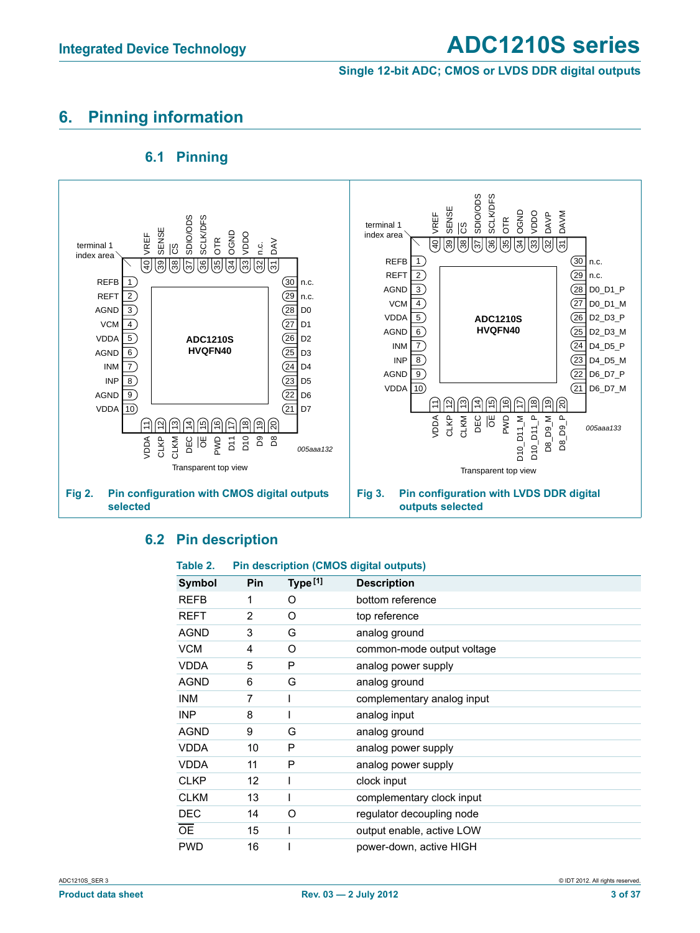#### **Single 12-bit ADC; CMOS or LVDS DDR digital outputs**

## **6. Pinning information**

## **6.1 Pinning**



#### **6.2 Pin description**

#### **Table 2. Pin description (CMOS digital outputs)**

| Symbol      | Pin | Type [1] | <b>Description</b>         |
|-------------|-----|----------|----------------------------|
|             |     |          |                            |
| <b>REFB</b> | 1   | O        | bottom reference           |
| REFT        | 2   | O        | top reference              |
| <b>AGND</b> | 3   | G        | analog ground              |
| <b>VCM</b>  | 4   | O        | common-mode output voltage |
| <b>VDDA</b> | 5   | P        | analog power supply        |
| <b>AGND</b> | 6   | G        | analog ground              |
| <b>INM</b>  | 7   |          | complementary analog input |
| <b>INP</b>  | 8   |          | analog input               |
| <b>AGND</b> | 9   | G        | analog ground              |
| <b>VDDA</b> | 10  | P        | analog power supply        |
| <b>VDDA</b> | 11  | P        | analog power supply        |
| <b>CLKP</b> | 12  |          | clock input                |
| <b>CLKM</b> | 13  |          | complementary clock input  |
| <b>DEC</b>  | 14  | O        | regulator decoupling node  |
| <b>OE</b>   | 15  |          | output enable, active LOW  |
| <b>PWD</b>  | 16  |          | power-down, active HIGH    |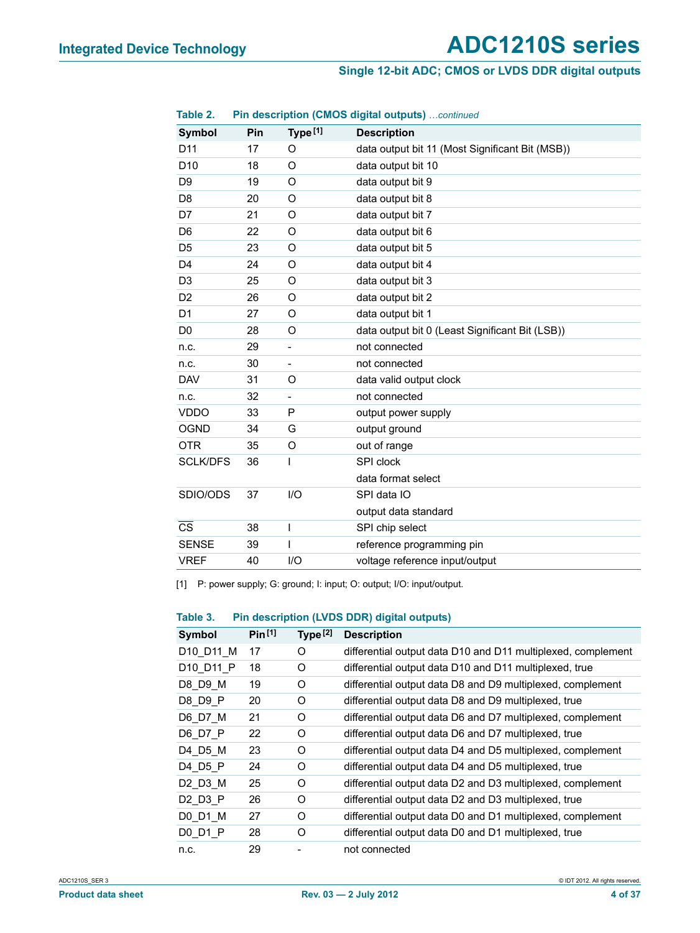#### **Single 12-bit ADC; CMOS or LVDS DDR digital outputs**

| Table 2.               |     |                          | Pin description (CMOS digital outputs) continued |
|------------------------|-----|--------------------------|--------------------------------------------------|
| <b>Symbol</b>          | Pin | Type [1]                 | <b>Description</b>                               |
| D <sub>11</sub>        | 17  | O                        | data output bit 11 (Most Significant Bit (MSB))  |
| D <sub>10</sub>        | 18  | O                        | data output bit 10                               |
| D <sub>9</sub>         | 19  | O                        | data output bit 9                                |
| D <sub>8</sub>         | 20  | O                        | data output bit 8                                |
| D7                     | 21  | O                        | data output bit 7                                |
| D <sub>6</sub>         | 22  | O                        | data output bit 6                                |
| D <sub>5</sub>         | 23  | O                        | data output bit 5                                |
| D <sub>4</sub>         | 24  | O                        | data output bit 4                                |
| D <sub>3</sub>         | 25  | O                        | data output bit 3                                |
| D <sub>2</sub>         | 26  | O                        | data output bit 2                                |
| D <sub>1</sub>         | 27  | O                        | data output bit 1                                |
| D <sub>0</sub>         | 28  | O                        | data output bit 0 (Least Significant Bit (LSB))  |
| n.c.                   | 29  | $\overline{\phantom{0}}$ | not connected                                    |
| n.c.                   | 30  | -                        | not connected                                    |
| <b>DAV</b>             | 31  | O                        | data valid output clock                          |
| n.c.                   | 32  |                          | not connected                                    |
| <b>VDDO</b>            | 33  | P                        | output power supply                              |
| <b>OGND</b>            | 34  | G                        | output ground                                    |
| <b>OTR</b>             | 35  | O                        | out of range                                     |
| <b>SCLK/DFS</b>        | 36  | I                        | SPI clock                                        |
|                        |     |                          | data format select                               |
| SDIO/ODS               | 37  | 1/O                      | SPI data IO                                      |
|                        |     |                          | output data standard                             |
| $\overline{\text{cs}}$ | 38  | I                        | SPI chip select                                  |
| <b>SENSE</b>           | 39  | I                        | reference programming pin                        |
| <b>VREF</b>            | 40  | I/O                      | voltage reference input/output                   |

[1] P: power supply; G: ground; I: input; O: output; I/O: input/output.

#### **Table 3. Pin description (LVDS DDR) digital outputs)**

| Symbol    | Pin <sup>[1]</sup> | Type <sup>[2]</sup> | <b>Description</b>                                           |
|-----------|--------------------|---------------------|--------------------------------------------------------------|
| D10 D11 M | 17                 | O                   | differential output data D10 and D11 multiplexed, complement |
| D10 D11 P | 18                 | O                   | differential output data D10 and D11 multiplexed, true       |
| D8 D9 M   | 19                 | O                   | differential output data D8 and D9 multiplexed, complement   |
| D8 D9 P   | 20                 | O                   | differential output data D8 and D9 multiplexed, true         |
| D6 D7 M   | 21                 | O                   | differential output data D6 and D7 multiplexed, complement   |
| D6 D7 P   | 22                 | O                   | differential output data D6 and D7 multiplexed, true         |
| D4 D5 M   | 23                 | Ω                   | differential output data D4 and D5 multiplexed, complement   |
| D4 D5 P   | 24                 | O                   | differential output data D4 and D5 multiplexed, true         |
| D2 D3 M   | 25                 | O                   | differential output data D2 and D3 multiplexed, complement   |
| D2 D3 P   | 26                 | Ω                   | differential output data D2 and D3 multiplexed, true         |
| D0 D1 M   | 27                 | O                   | differential output data D0 and D1 multiplexed, complement   |
| D0 D1 P   | 28                 | O                   | differential output data D0 and D1 multiplexed, true         |
| n.c.      | 29                 |                     | not connected                                                |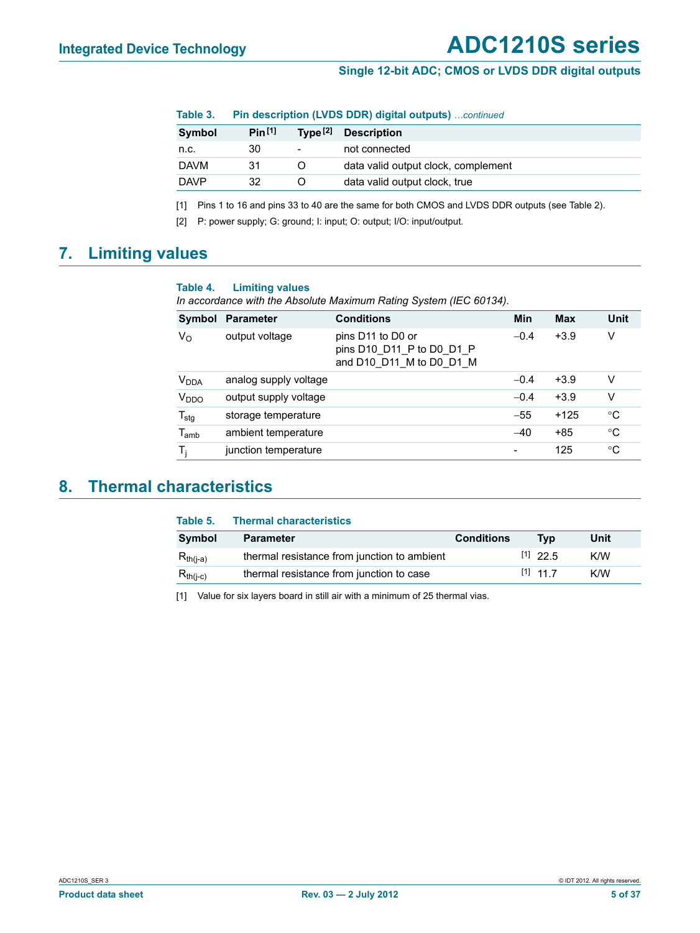| Table 3. | Pin description (LVDS DDR) digital outputs) continued |  |  |  |
|----------|-------------------------------------------------------|--|--|--|
|----------|-------------------------------------------------------|--|--|--|

| Symbol      | Pin <sup>[1]</sup> |   | Type <sup>[2]</sup> Description     |
|-------------|--------------------|---|-------------------------------------|
| n.c.        | 30                 | - | not connected                       |
| <b>DAVM</b> | 31                 |   | data valid output clock, complement |
| <b>DAVP</b> | 32                 |   | data valid output clock, true       |

[1] Pins 1 to 16 and pins 33 to 40 are the same for both CMOS and LVDS DDR outputs (see Table 2).

[2] P: power supply; G: ground; I: input; O: output; I/O: input/output.

## **7. Limiting values**

#### **Table 4. Limiting values**

*In accordance with the Absolute Maximum Rating System (IEC 60134).*

| Symbol                 | <b>Parameter</b>      | <b>Conditions</b>                                                          | Min             | <b>Max</b> | Unit        |
|------------------------|-----------------------|----------------------------------------------------------------------------|-----------------|------------|-------------|
| $V_{\rm O}$            | output voltage        | pins D11 to D0 or<br>pins D10 D11 P to D0 D1 P<br>and D10 D11 M to D0 D1 M | $-0.4$          | $+3.9$     | ٧           |
| <b>V<sub>DDA</sub></b> | analog supply voltage |                                                                            | $-0.4$          | $+3.9$     | v           |
| V <sub>DDO</sub>       | output supply voltage |                                                                            | $-0.4$          | $+3.9$     | v           |
| $T_{\text{stg}}$       | storage temperature   |                                                                            | $-55$           | $+125$     | $^{\circ}C$ |
| $T_{amb}$              | ambient temperature   |                                                                            | $-40$           | $+85$      | $^{\circ}C$ |
| T,                     | junction temperature  |                                                                            | $\qquad \qquad$ | 125        | $^{\circ}C$ |

## **8. Thermal characteristics**

| Table 5.      | <b>Thermal characteristics</b>              |                   |            |      |
|---------------|---------------------------------------------|-------------------|------------|------|
| Symbol        | <b>Parameter</b>                            | <b>Conditions</b> | Tvp        | Unit |
| $R_{th(i-a)}$ | thermal resistance from junction to ambient |                   | $[1]$ 22.5 | K/W  |
| $R_{th(i-c)}$ | thermal resistance from junction to case    |                   | $[1]$ 11 7 | K/W  |

[1] Value for six layers board in still air with a minimum of 25 thermal vias.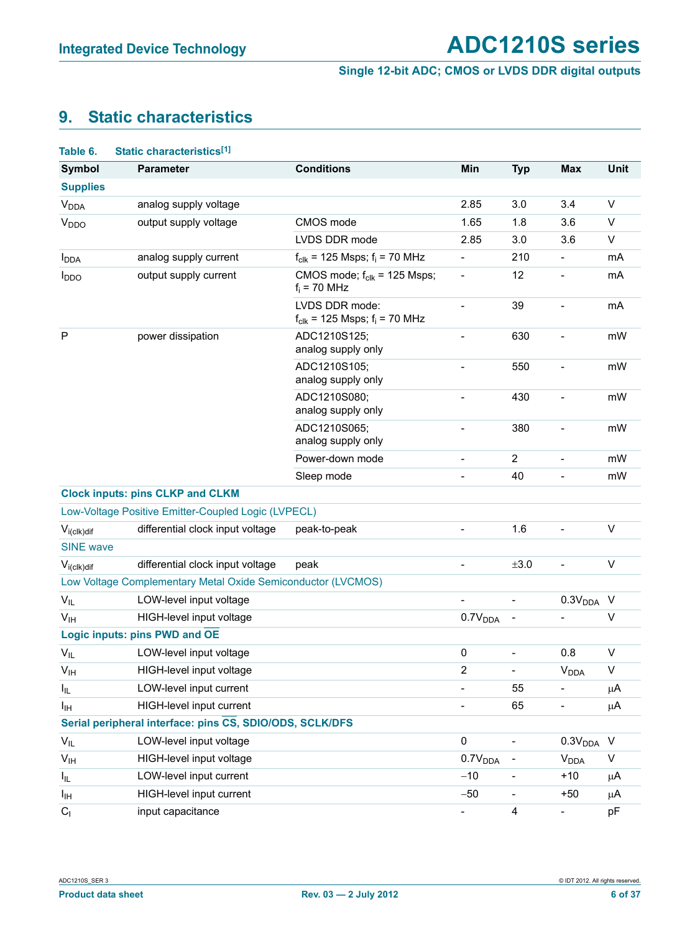## **9. Static characteristics**

| Table 6.                | Static characteristics[1]                                    |                                                               |                          |                          |                          |             |
|-------------------------|--------------------------------------------------------------|---------------------------------------------------------------|--------------------------|--------------------------|--------------------------|-------------|
| <b>Symbol</b>           | <b>Parameter</b>                                             | <b>Conditions</b>                                             | Min                      | <b>Typ</b>               | <b>Max</b>               | <b>Unit</b> |
| <b>Supplies</b>         |                                                              |                                                               |                          |                          |                          |             |
| <b>V<sub>DDA</sub></b>  | analog supply voltage                                        |                                                               | 2.85                     | 3.0                      | 3.4                      | V           |
| V <sub>DDO</sub>        | output supply voltage                                        | CMOS mode                                                     | 1.65                     | 1.8                      | 3.6                      | $\vee$      |
|                         |                                                              | LVDS DDR mode                                                 | 2.85                     | 3.0                      | 3.6                      | V           |
| <b>I</b> <sub>DDA</sub> | analog supply current                                        | $f_{\text{clk}}$ = 125 Msps; $f_i$ = 70 MHz                   | $\overline{a}$           | 210                      | $\overline{\phantom{0}}$ | mA          |
| <b>I</b> <sub>DDO</sub> | output supply current                                        | CMOS mode; $f_{\text{clk}}$ = 125 Msps;<br>$f_i$ = 70 MHz     | $\qquad \qquad -$        | 12                       | $\overline{\phantom{0}}$ | mA          |
|                         |                                                              | LVDS DDR mode:<br>$f_{\text{clk}}$ = 125 Msps; $f_i$ = 70 MHz | $\overline{\phantom{a}}$ | 39                       | $\overline{a}$           | mA          |
| $\mathsf{P}$            | power dissipation                                            | ADC1210S125;<br>analog supply only                            |                          | 630                      |                          | mW          |
|                         |                                                              | ADC1210S105;<br>analog supply only                            |                          | 550                      | $\overline{a}$           | mW          |
|                         |                                                              | ADC1210S080;<br>analog supply only                            | $\overline{\phantom{0}}$ | 430                      | ÷                        | mW          |
|                         |                                                              | ADC1210S065;<br>analog supply only                            |                          | 380                      |                          | mW          |
|                         |                                                              | Power-down mode                                               | $\overline{a}$           | $\boldsymbol{2}$         | $\overline{a}$           | mW          |
|                         |                                                              | Sleep mode                                                    |                          | 40                       | $\overline{a}$           | mW          |
|                         | <b>Clock inputs: pins CLKP and CLKM</b>                      |                                                               |                          |                          |                          |             |
|                         | Low-Voltage Positive Emitter-Coupled Logic (LVPECL)          |                                                               |                          |                          |                          |             |
| $V_{i (c I k) dif}$     | differential clock input voltage                             | peak-to-peak                                                  | $\overline{\phantom{a}}$ | 1.6                      | $\overline{a}$           | V           |
| <b>SINE</b> wave        |                                                              |                                                               |                          |                          |                          |             |
| $V_{i (c I k) dif}$     | differential clock input voltage                             | peak                                                          | $\overline{a}$           | ±3.0                     | $\overline{a}$           | V           |
|                         | Low Voltage Complementary Metal Oxide Semiconductor (LVCMOS) |                                                               |                          |                          |                          |             |
| $V_{IL}$                | LOW-level input voltage                                      |                                                               |                          | $\overline{\phantom{a}}$ | 0.3V <sub>DDA</sub>      | $\vee$      |
| V <sub>IH</sub>         | HIGH-level input voltage                                     |                                                               | 0.7V <sub>DDA</sub>      | $\overline{\phantom{a}}$ |                          | $\vee$      |
|                         | Logic inputs: pins PWD and OE                                |                                                               |                          |                          |                          |             |
| $V_{IL}$                | LOW-level input voltage                                      |                                                               | 0                        |                          | 0.8                      | $\vee$      |
| V <sub>IH</sub>         | HIGH-level input voltage                                     |                                                               | 2                        |                          | $V_{DDA}$                | V           |
| $I_{IL}$                | LOW-level input current                                      |                                                               |                          | 55                       | $\overline{a}$           | μA          |
| Iщ                      | HIGH-level input current                                     |                                                               |                          | 65                       | $\overline{\phantom{0}}$ | μA          |
|                         | Serial peripheral interface: pins CS, SDIO/ODS, SCLK/DFS     |                                                               |                          |                          |                          |             |
| $V_{IL}$                | LOW-level input voltage                                      |                                                               | 0                        |                          | 0.3V <sub>DDA</sub>      | $\vee$      |
| $V_{\text{IH}}$         | HIGH-level input voltage                                     |                                                               | 0.7V <sub>DDA</sub>      |                          | <b>V<sub>DDA</sub></b>   | $\sf V$     |
| I <sub>IL</sub>         | LOW-level input current                                      |                                                               | $-10$                    | $\overline{\phantom{a}}$ | $+10$                    | μA          |
| Iщ                      | HIGH-level input current                                     |                                                               | $-50$                    | -                        | $+50$                    | μA          |
| C <sub>1</sub>          | input capacitance                                            |                                                               | $\blacksquare$           | 4                        | $\overline{\phantom{a}}$ | pF          |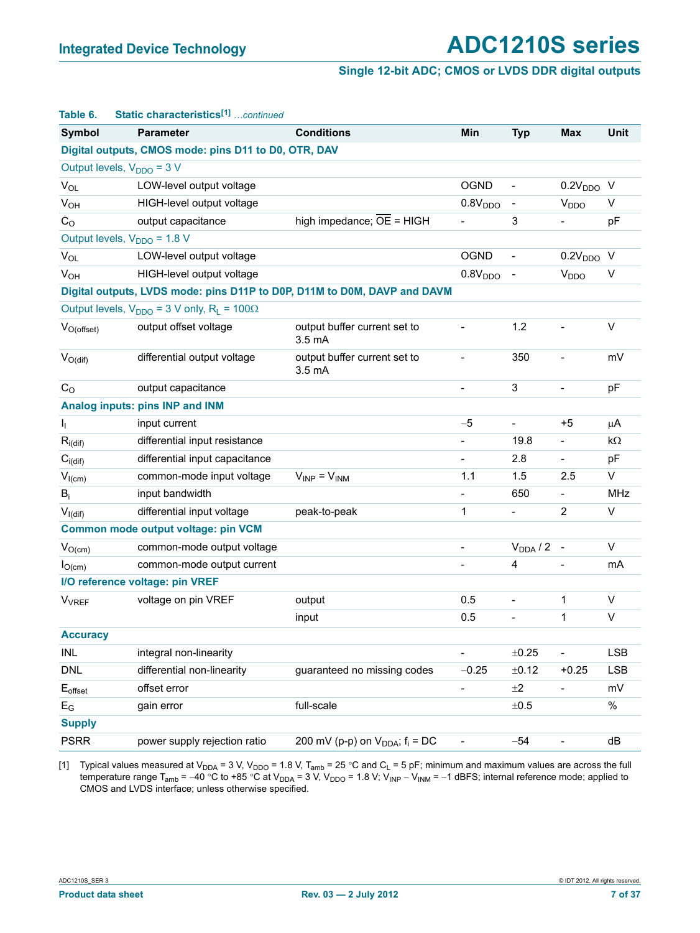| Table 6.                       | Static characteristics <sup>[1]</sup> continued                          |                                                    |                          |                              |                              |            |
|--------------------------------|--------------------------------------------------------------------------|----------------------------------------------------|--------------------------|------------------------------|------------------------------|------------|
| <b>Symbol</b>                  | <b>Parameter</b>                                                         | <b>Conditions</b>                                  | Min                      | <b>Typ</b>                   | <b>Max</b>                   | Unit       |
|                                | Digital outputs, CMOS mode: pins D11 to D0, OTR, DAV                     |                                                    |                          |                              |                              |            |
|                                | Output levels, $V_{DDO} = 3 V$                                           |                                                    |                          |                              |                              |            |
| $V_{OL}$                       | LOW-level output voltage                                                 |                                                    | <b>OGND</b>              | $\overline{\phantom{a}}$     | 0.2V <sub>DDO</sub> V        |            |
| <b>V<sub>OH</sub></b>          | HIGH-level output voltage                                                |                                                    | 0.8V <sub>DDO</sub>      | $\overline{\phantom{a}}$     | V <sub>DDO</sub>             | V          |
| $C_{\rm O}$                    | output capacitance                                                       | high impedance; $\overline{OE}$ = HIGH             | $\overline{\phantom{0}}$ | 3                            | $\overline{\phantom{0}}$     | pF         |
|                                | Output levels, V <sub>DDO</sub> = 1.8 V                                  |                                                    |                          |                              |                              |            |
| $V_{OL}$                       | LOW-level output voltage                                                 |                                                    | <b>OGND</b>              | $\overline{\phantom{0}}$     | $0.2VDDO$ V                  |            |
| $V_{OH}$                       | HIGH-level output voltage                                                |                                                    | 0.8V <sub>DDO</sub>      | $\qquad \qquad \blacksquare$ | <b>V</b> <sub>DDO</sub>      | V          |
|                                | Digital outputs, LVDS mode: pins D11P to D0P, D11M to D0M, DAVP and DAVM |                                                    |                          |                              |                              |            |
|                                | Output levels, $V_{DDO} = 3$ V only, $R_L = 100\Omega$                   |                                                    |                          |                              |                              |            |
| $V_{O(offset)}$                | output offset voltage                                                    | output buffer current set to<br>3.5 <sub>m</sub> A |                          | 1.2                          | $\overline{a}$               | V          |
| $V_{O(di)}$                    | differential output voltage                                              | output buffer current set to<br>3.5 <sub>m</sub> A | $\overline{\phantom{a}}$ | 350                          | $\overline{a}$               | mV         |
| C <sub>O</sub>                 | output capacitance                                                       |                                                    |                          | 3                            | $\overline{a}$               | pF         |
|                                | Analog inputs: pins INP and INM                                          |                                                    |                          |                              |                              |            |
| Ij.                            | input current                                                            |                                                    | $-5$                     | $\overline{\phantom{a}}$     | $+5$                         | μA         |
| $R_{i\left(\text{dif}\right)}$ | differential input resistance                                            |                                                    | ÷.                       | 19.8                         | $\overline{\phantom{0}}$     | kΩ         |
| $C_{i\left(\text{dif}\right)}$ | differential input capacitance                                           |                                                    |                          | 2.8                          | $\qquad \qquad \blacksquare$ | pF         |
| $V_{I(cm)}$                    | common-mode input voltage                                                | $V_{INP} = V_{INM}$                                | 1.1                      | 1.5                          | 2.5                          | V          |
| $B_i$                          | input bandwidth                                                          |                                                    |                          | 650                          | $\qquad \qquad \blacksquare$ | <b>MHz</b> |
| $V_{I(df)}$                    | differential input voltage                                               | peak-to-peak                                       | 1                        | $\overline{\phantom{a}}$     | $\overline{2}$               | V          |
|                                | Common mode output voltage: pin VCM                                      |                                                    |                          |                              |                              |            |
| $V_{O(cm)}$                    | common-mode output voltage                                               |                                                    | $\overline{\phantom{0}}$ | $V_{DDA}$ / 2 -              |                              | V          |
| $I_{O(cm)}$                    | common-mode output current                                               |                                                    |                          | 4                            |                              | mA         |
|                                | I/O reference voltage: pin VREF                                          |                                                    |                          |                              |                              |            |
| <b>V<sub>VREF</sub></b>        | voltage on pin VREF                                                      | output                                             | 0.5                      | $\overline{a}$               | 1                            | $\vee$     |
|                                |                                                                          | input                                              | 0.5                      | $\overline{\phantom{0}}$     | 1                            | V          |
| <b>Accuracy</b>                |                                                                          |                                                    |                          |                              |                              |            |
| <b>INL</b>                     | integral non-linearity                                                   |                                                    | $\overline{\phantom{0}}$ | ±0.25                        | $\overline{\phantom{0}}$     | <b>LSB</b> |
| <b>DNL</b>                     | differential non-linearity                                               | guaranteed no missing codes                        | $-0.25$                  | ±0.12                        | $+0.25$                      | <b>LSB</b> |
| $\mathsf{E}_{\text{offset}}$   | offset error                                                             |                                                    | $\overline{\phantom{0}}$ | ±2                           | $\frac{1}{2}$                | mV         |
| $\mathsf{E}_{\mathsf{G}}$      | gain error                                                               | full-scale                                         |                          | $\pm 0.5$                    |                              | $\%$       |
| <b>Supply</b>                  |                                                                          |                                                    |                          |                              |                              |            |
| <b>PSRR</b>                    | power supply rejection ratio                                             | 200 mV (p-p) on $V_{DDA}$ ; $f_i = DC$             |                          | $-54$                        |                              | dB         |

[1] Typical values measured at V<sub>DDA</sub> = 3 V, V<sub>DDO</sub> = 1.8 V, T<sub>amb</sub> = 25 °C and C<sub>L</sub> = 5 pF; minimum and maximum values are across the full temperature range T<sub>amb</sub> = -40 °C to +85 °C at V<sub>DDA</sub> = 3 V, V<sub>DDO</sub> = 1.8 V; V<sub>INP</sub> - V<sub>INM</sub> = -1 dBFS; internal reference mode; applied to CMOS and LVDS interface; unless otherwise specified.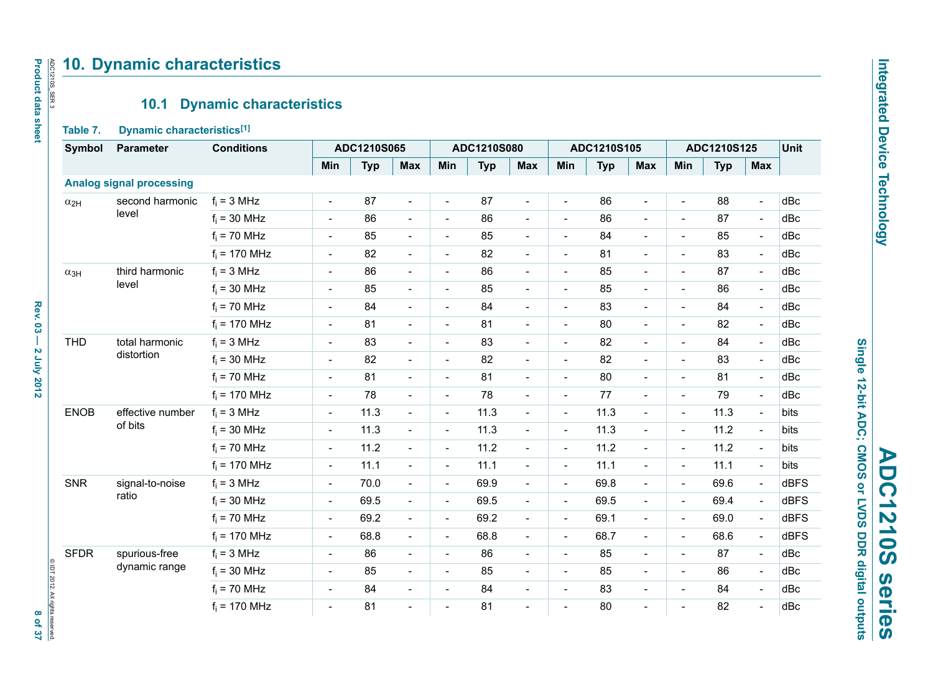# Integrated Device Technology **Integrated Device Technology**

# Single 12-bit ADC; CMOS or LVDS DDR digital outputs **ADC1210S series ADC1210S** series

**Single 12-bit ADC; CMOS or LVDS DDR digital outputs**

## **10. Dynamic characteristics**

## **10.1 Dynamic characteristics**

#### **Table 7. Dynamic characteristics[1]**

| Symbol        | <b>Parameter</b>                | <b>Conditions</b> |                          | ADC1210S065 |                          |                          | ADC1210S080 |                          |                          | ADC1210S105 |                              | ADC1210S125              |            |                          | Unit        |
|---------------|---------------------------------|-------------------|--------------------------|-------------|--------------------------|--------------------------|-------------|--------------------------|--------------------------|-------------|------------------------------|--------------------------|------------|--------------------------|-------------|
|               |                                 |                   | Min                      | <b>Typ</b>  | <b>Max</b>               | Min                      | <b>Typ</b>  | <b>Max</b>               | Min                      | <b>Typ</b>  | <b>Max</b>                   | Min                      | <b>Typ</b> | <b>Max</b>               |             |
|               | <b>Analog signal processing</b> |                   |                          |             |                          |                          |             |                          |                          |             |                              |                          |            |                          |             |
| $\alpha_{2H}$ | second harmonic                 | $f_i = 3 MHz$     | $\frac{1}{2}$            | 87          | $\blacksquare$           | $\blacksquare$           | 87          | $\blacksquare$           | $\overline{\phantom{a}}$ | 86          | $\overline{a}$               | $\blacksquare$           | 88         | $\blacksquare$           | dBc         |
|               | level                           | $f_i = 30$ MHz    | $\overline{a}$           | 86          | $\blacksquare$           | $\blacksquare$           | 86          | $\overline{\phantom{a}}$ | $\blacksquare$           | 86          | $\blacksquare$               | $\blacksquare$           | 87         | $\blacksquare$           | dBc         |
|               |                                 | $f_i = 70$ MHz    | $\overline{\phantom{a}}$ | 85          | $\blacksquare$           | $\overline{\phantom{a}}$ | 85          | $\blacksquare$           | $\overline{\phantom{a}}$ | 84          | $\overline{\phantom{a}}$     | $\overline{\phantom{a}}$ | 85         | $\blacksquare$           | dBc         |
|               |                                 | $f_i = 170$ MHz   | $\overline{\phantom{a}}$ | 82          | $\overline{\phantom{a}}$ | $\blacksquare$           | 82          | $\overline{\phantom{a}}$ |                          | 81          | $\overline{\phantom{a}}$     | $\blacksquare$           | 83         | $\overline{\phantom{a}}$ | dBc         |
| $\alpha_{3H}$ | third harmonic                  | $f_i = 3 MHz$     | $\blacksquare$           | 86          | $\blacksquare$           | $\blacksquare$           | 86          | $\blacksquare$           | $\blacksquare$           | 85          | $\blacksquare$               | $\blacksquare$           | 87         | $\mathbb{L}$             | dBc         |
|               | level                           | $f_i = 30$ MHz    | $\qquad \qquad -$        | 85          | $\overline{\phantom{a}}$ | $\overline{\phantom{a}}$ | 85          | $\blacksquare$           | $\overline{\phantom{a}}$ | 85          | $\overline{\phantom{a}}$     | $\blacksquare$           | 86         | $\blacksquare$           | dBc         |
|               |                                 | $f_i = 70$ MHz    | $\overline{\phantom{a}}$ | 84          | $\overline{\phantom{a}}$ | $\overline{a}$           | 84          | $\overline{\phantom{a}}$ | $\blacksquare$           | 83          | $\blacksquare$               | $\overline{a}$           | 84         | $\overline{\phantom{a}}$ | dBc         |
|               |                                 | $f_i = 170$ MHz   | $\overline{\phantom{a}}$ | 81          | $\overline{\phantom{a}}$ | $\overline{\phantom{a}}$ | 81          | $\blacksquare$           | $\blacksquare$           | 80          | $\blacksquare$               | $\overline{a}$           | 82         | $\overline{\phantom{a}}$ | dBc         |
| <b>THD</b>    | total harmonic<br>distortion    | $f_i = 3 MHz$     | $\overline{\phantom{a}}$ | 83          | $\overline{\phantom{a}}$ | $\overline{\phantom{a}}$ | 83          | $\overline{\phantom{a}}$ | $\overline{\phantom{a}}$ | 82          | $\overline{\phantom{a}}$     | $\blacksquare$           | 84         | $\overline{\phantom{a}}$ | dBc         |
|               |                                 | $f_i = 30$ MHz    | $\overline{\phantom{a}}$ | 82          | $\overline{\phantom{a}}$ | $\overline{\phantom{a}}$ | 82          | $\blacksquare$           | $\overline{\phantom{a}}$ | 82          | $\overline{\phantom{a}}$     | $\overline{\phantom{a}}$ | 83         | $\blacksquare$           | dBc         |
|               |                                 | $f_i = 70$ MHz    | $\overline{a}$           | 81          | $\blacksquare$           | $\sim$                   | 81          | $\overline{\phantom{a}}$ | $\blacksquare$           | 80          | $\overline{a}$               | $\blacksquare$           | 81         | $\blacksquare$           | dBc         |
|               |                                 | $f_i = 170$ MHz   | $\blacksquare$           | 78          | $\blacksquare$           | $\overline{\phantom{a}}$ | 78          | $\blacksquare$           | $\blacksquare$           | 77          | $\overline{a}$               | $\blacksquare$           | 79         | $\overline{\phantom{a}}$ | dBc         |
| <b>ENOB</b>   | effective number<br>of bits     | $f_i = 3 MHz$     | $\blacksquare$           | 11.3        | $\blacksquare$           | $\overline{\phantom{a}}$ | 11.3        | $\blacksquare$           | $\overline{\phantom{a}}$ | 11.3        | $\overline{\phantom{a}}$     | $\blacksquare$           | 11.3       | $\overline{\phantom{a}}$ | bits        |
|               |                                 | $f_i = 30$ MHz    | $\overline{\phantom{a}}$ | 11.3        | $\overline{\phantom{a}}$ | $\blacksquare$           | 11.3        | $\blacksquare$           | $\overline{\phantom{a}}$ | 11.3        | $\overline{\phantom{a}}$     | $\overline{\phantom{a}}$ | 11.2       | $\blacksquare$           | bits        |
|               |                                 | $f_i = 70$ MHz    | $\blacksquare$           | 11.2        | $\blacksquare$           | $\overline{\phantom{a}}$ | 11.2        | $\blacksquare$           | $\overline{\phantom{a}}$ | 11.2        | $\frac{1}{2}$                | $\blacksquare$           | 11.2       | $\blacksquare$           | bits        |
|               |                                 | $f_i = 170$ MHz   | $\overline{\phantom{a}}$ | 11.1        | $\overline{\phantom{a}}$ | $\blacksquare$           | 11.1        | $\overline{\phantom{a}}$ | $\blacksquare$           | 11.1        | $\overline{\phantom{a}}$     | $\blacksquare$           | 11.1       | $\overline{\phantom{a}}$ | bits        |
| <b>SNR</b>    | signal-to-noise                 | $f_i = 3 MHz$     | $\overline{\phantom{a}}$ | 70.0        | $\overline{\phantom{0}}$ | $\overline{\phantom{a}}$ | 69.9        | $\blacksquare$           | $\blacksquare$           | 69.8        | $\frac{1}{2}$                | $\blacksquare$           | 69.6       | $\blacksquare$           | <b>dBFS</b> |
|               | ratio                           | $f_i = 30$ MHz    | $\overline{\phantom{a}}$ | 69.5        | $\overline{\phantom{a}}$ | $\overline{\phantom{a}}$ | 69.5        | $\blacksquare$           | $\overline{\phantom{a}}$ | 69.5        | $\overline{a}$               | $\blacksquare$           | 69.4       | $\overline{\phantom{a}}$ | <b>dBFS</b> |
|               |                                 | $f_i = 70$ MHz    | $\overline{\phantom{a}}$ | 69.2        | $\blacksquare$           | $\blacksquare$           | 69.2        | $\overline{\phantom{a}}$ | $\blacksquare$           | 69.1        | $\blacksquare$               | $\blacksquare$           | 69.0       | $\blacksquare$           | <b>dBFS</b> |
|               |                                 | $f_i = 170$ MHz   | $\blacksquare$           | 68.8        | $\blacksquare$           | $\overline{\phantom{a}}$ | 68.8        | $\blacksquare$           | $\overline{\phantom{a}}$ | 68.7        | $\qquad \qquad \blacksquare$ | $\overline{\phantom{a}}$ | 68.6       | $\blacksquare$           | dBFS        |
| <b>SFDR</b>   | spurious-free                   | $f_i = 3 MHz$     | $\overline{\phantom{a}}$ | 86          | $\overline{\phantom{a}}$ | $\blacksquare$           | 86          | $\overline{\phantom{a}}$ | $\blacksquare$           | 85          | $\overline{\phantom{a}}$     | $\blacksquare$           | 87         | $\blacksquare$           | dBc         |
|               | dynamic range                   | $f_i = 30$ MHz    | $\overline{a}$           | 85          | $\blacksquare$           | $\blacksquare$           | 85          | $\overline{\phantom{a}}$ | $\blacksquare$           | 85          | $\blacksquare$               | $\blacksquare$           | 86         | $\blacksquare$           | dBc         |
|               |                                 | $f_i = 70$ MHz    | $\overline{\phantom{a}}$ | 84          | $\overline{\phantom{a}}$ | $\overline{\phantom{a}}$ | 84          | $\blacksquare$           | $\overline{\phantom{a}}$ | 83          | $\overline{\phantom{a}}$     | $\blacksquare$           | 84         | $\blacksquare$           | dBc         |
|               |                                 | $f_i = 170$ MHz   | $\overline{\phantom{a}}$ | 81          | $\overline{\phantom{a}}$ | $\blacksquare$           | 81          | $\overline{\phantom{a}}$ | $\blacksquare$           | 80          | $\overline{\phantom{a}}$     | $\overline{a}$           | 82         | $\overline{\phantom{a}}$ | dBc         |

ADC1210S\_SER 3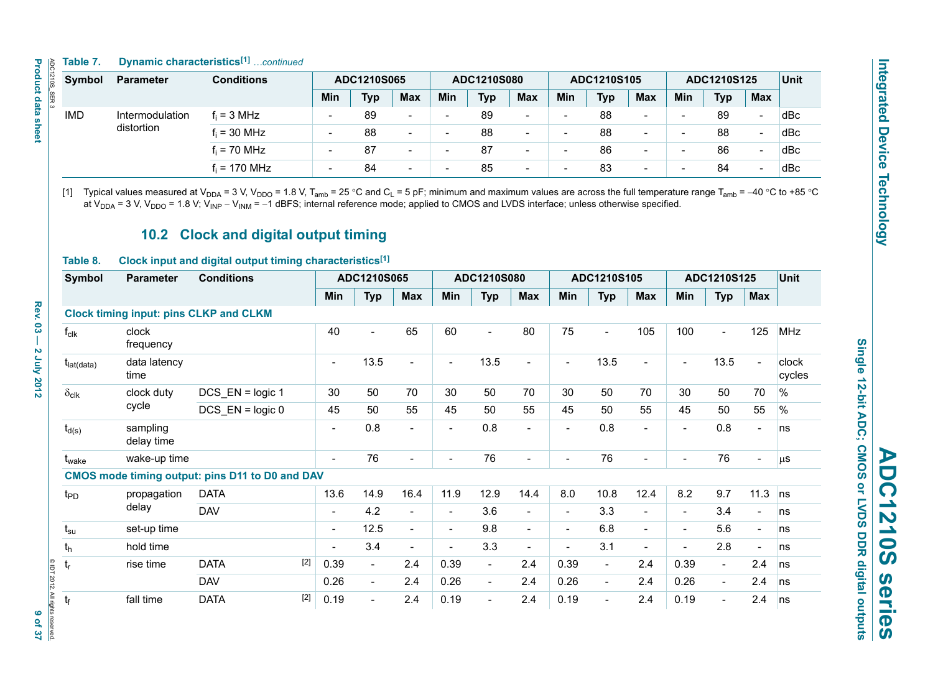#### **Table 7. Dynamic characteristics[1]** *…continued*

| $\frac{1}{\sqrt{2}}$ | Table 7.      | <b>Dynamic characteristics</b> [1] | continued         |                          |     |                          |             |            |                          |                          |            |                          |                          |            |                          |                   |
|----------------------|---------------|------------------------------------|-------------------|--------------------------|-----|--------------------------|-------------|------------|--------------------------|--------------------------|------------|--------------------------|--------------------------|------------|--------------------------|-------------------|
| <b>210S</b>          | <b>Symbol</b> | <b>Parameter</b>                   | <b>Conditions</b> | ADC1210S065              |     |                          | ADC1210S080 |            |                          | ADC1210S105              |            |                          | ADC1210S125              |            |                          | Unit <sup>1</sup> |
| $SER$ 3              |               |                                    |                   | <b>Min</b>               | Typ | <b>Max</b>               | Min         | <b>Typ</b> | <b>Max</b>               | Min                      | <b>Typ</b> | <b>Max</b>               | Min                      | <b>Typ</b> | <b>Max</b>               |                   |
|                      | <b>IMD</b>    | Intermodulation                    | $f_i = 3 MHz$     | $\overline{\phantom{a}}$ | 89  | $\overline{\phantom{0}}$ |             | 89         | $\overline{\phantom{0}}$ | $\overline{\phantom{0}}$ | 88         | $\overline{\phantom{0}}$ | $\overline{\phantom{a}}$ | 89         | $\overline{\phantom{0}}$ | dBc               |
|                      |               | distortion                         | $f_i = 30$ MHz    | $\overline{\phantom{a}}$ | 88  | $\sim$                   |             | 88         | $\sim$                   | $\overline{\phantom{0}}$ | 88         | $\overline{\phantom{0}}$ | $\overline{\phantom{0}}$ | 88         | $\overline{\phantom{0}}$ | dBc               |
|                      |               |                                    | $f_i = 70$ MHz    | $\overline{\phantom{a}}$ | 87  | $\sim$                   |             | 87         | $\overline{\phantom{0}}$ | $\overline{\phantom{0}}$ | 86         | $\overline{\phantom{0}}$ | -                        | 86         | $\overline{\phantom{0}}$ | dBc               |
|                      |               |                                    | $f_i = 170$ MHz   | $\overline{\phantom{0}}$ | 84  | $\sim$                   |             | 85         | $\overline{\phantom{0}}$ | $\overline{\phantom{0}}$ | 83         | $\overline{\phantom{0}}$ |                          | 84         | $\overline{\phantom{0}}$ | dBc               |

[1]  $\;$  Typical values measured at V<sub>DDA</sub> = 3 V, V<sub>DDO</sub> = 1.8 V, T<sub>amb</sub> = 25 °C and C<sub>L</sub> = 5 pF; minimum and maximum values are across the full temperature range T<sub>amb</sub> = –40 °C to +85 °C at V<sub>DDA</sub> = 3 V, V<sub>DDO</sub> = 1.8 V; V<sub>INP</sub> – V<sub>INM</sub> = –1 dBFS; internal reference mode; applied to CMOS and LVDS interface; unless otherwise specified.

## **10.2 Clock and digital output timing**

#### **Table 8. Clock input and digital output timing characteristics[1]**

| Symbol                              | <b>Parameter</b>       | <b>Conditions</b>                                      |       | ADC1210S065              |                          | ADC1210S080              |                          |                          | ADC1210S105              |                          |                          | ADC1210S125              |                          |                          | Unit                     |                 |
|-------------------------------------|------------------------|--------------------------------------------------------|-------|--------------------------|--------------------------|--------------------------|--------------------------|--------------------------|--------------------------|--------------------------|--------------------------|--------------------------|--------------------------|--------------------------|--------------------------|-----------------|
|                                     |                        |                                                        |       | Min                      | <b>Typ</b>               | <b>Max</b>               | Min                      | <b>Typ</b>               | <b>Max</b>               | Min                      | <b>Typ</b>               | <b>Max</b>               | Min                      | <b>Typ</b>               | Max                      |                 |
|                                     |                        | <b>Clock timing input: pins CLKP and CLKM</b>          |       |                          |                          |                          |                          |                          |                          |                          |                          |                          |                          |                          |                          |                 |
| $f_{clk}$                           | clock<br>frequency     |                                                        |       | 40                       |                          | 65                       | 60                       | $\overline{a}$           | 80                       | 75                       |                          | 105                      | 100                      |                          | 125                      | <b>MHz</b>      |
| $t_{\text{lat(data)}}$              | data latency<br>time   |                                                        |       |                          | 13.5                     | $\blacksquare$           | $\overline{\phantom{a}}$ | 13.5                     |                          | $\overline{\phantom{a}}$ | 13.5                     | $\blacksquare$           | $\blacksquare$           | 13.5                     | $\blacksquare$           | clock<br>cycles |
| $\delta_{\text{clk}}$<br>clock duty |                        | DCS_EN = logic 1                                       |       | 30                       | 50                       | 70                       | 30                       | 50                       | 70                       | 30                       | 50                       | 70                       | 30                       | 50                       | 70                       | %               |
|                                     | cycle                  | $DCS$ $EN = logic 0$                                   |       | 45                       | 50                       | 55                       | 45                       | 50                       | 55                       | 45                       | 50                       | 55                       | 45                       | 50                       | 55                       | $\%$            |
| $t_{d(s)}$                          | sampling<br>delay time |                                                        |       |                          | 0.8                      |                          | $\overline{\phantom{a}}$ | 0.8                      | $\blacksquare$           | $\overline{a}$           | 0.8                      | $\overline{a}$           | ۰                        | 0.8                      | ۰                        | ns              |
| t <sub>wake</sub>                   | wake-up time           |                                                        |       |                          | 76                       | $\overline{\phantom{a}}$ | $\overline{\phantom{0}}$ | 76                       | $\overline{\phantom{a}}$ | $\overline{\phantom{a}}$ | 76                       | $\overline{\phantom{0}}$ | $\overline{\phantom{0}}$ | 76                       | $\overline{\phantom{a}}$ | $\mu$ s         |
|                                     |                        | <b>CMOS mode timing output: pins D11 to D0 and DAV</b> |       |                          |                          |                          |                          |                          |                          |                          |                          |                          |                          |                          |                          |                 |
| t <sub>PD</sub>                     | propagation            | <b>DATA</b>                                            |       | 13.6                     | 14.9                     | 16.4                     | 11.9                     | 12.9                     | 14.4                     | 8.0                      | 10.8                     | 12.4                     | 8.2                      | 9.7                      | 11.3                     | ns              |
|                                     | delay                  | <b>DAV</b>                                             |       | $\overline{\phantom{a}}$ | 4.2                      | $\sim$                   | $\overline{\phantom{a}}$ | 3.6                      | $\overline{\phantom{a}}$ | $\overline{\phantom{a}}$ | 3.3                      | $\blacksquare$           | $\overline{\phantom{a}}$ | 3.4                      | $\overline{a}$           | ns              |
| $t_{\rm su}$                        | set-up time            |                                                        |       | $\overline{\phantom{a}}$ | 12.5                     | $\overline{\phantom{0}}$ | $\overline{\phantom{a}}$ | 9.8                      | $\blacksquare$           | -                        | 6.8                      | $\overline{\phantom{0}}$ | $\overline{\phantom{a}}$ | 5.6                      | $\overline{\phantom{a}}$ | ns              |
| $t_h$                               | hold time              |                                                        |       | $\overline{\phantom{0}}$ | 3.4                      | $\overline{\phantom{a}}$ | $\overline{\phantom{a}}$ | 3.3                      | $\overline{\phantom{a}}$ | ۰                        | 3.1                      | $\overline{\phantom{0}}$ | $\blacksquare$           | 2.8                      | $\overline{\phantom{0}}$ | ns              |
| $t_{r}$                             | rise time              | <b>DATA</b>                                            | $[2]$ | 0.39                     | $\overline{\phantom{0}}$ | 2.4                      | 0.39                     | $\blacksquare$           | 2.4                      | 0.39                     | $\overline{\phantom{a}}$ | 2.4                      | 0.39                     | $\blacksquare$           | 2.4                      | ns              |
|                                     |                        | <b>DAV</b>                                             |       | 0.26                     | $\blacksquare$           | 2.4                      | 0.26                     | $\overline{\phantom{a}}$ | 2.4                      | 0.26                     | $\blacksquare$           | 2.4                      | 0.26                     | $\overline{\phantom{a}}$ | 2.4                      | ns              |
| $t_f$                               | fall time              | <b>DATA</b>                                            | $[2]$ | 0.19                     |                          | 2.4                      | 0.19                     | $\overline{\phantom{a}}$ | 2.4                      | 0.19                     | $\blacksquare$           | 2.4                      | 0.19                     | $\blacksquare$           | 2.4                      | ns              |

Single 12-bit ADC; CMOS or LVDS DDR digital outputs **Single 12-bit ADC; CMOS or LVDS DDR digital outputs**

**ADC1210S series**

Series

**DC1210S** 

© IDT 2012. All rights reserved.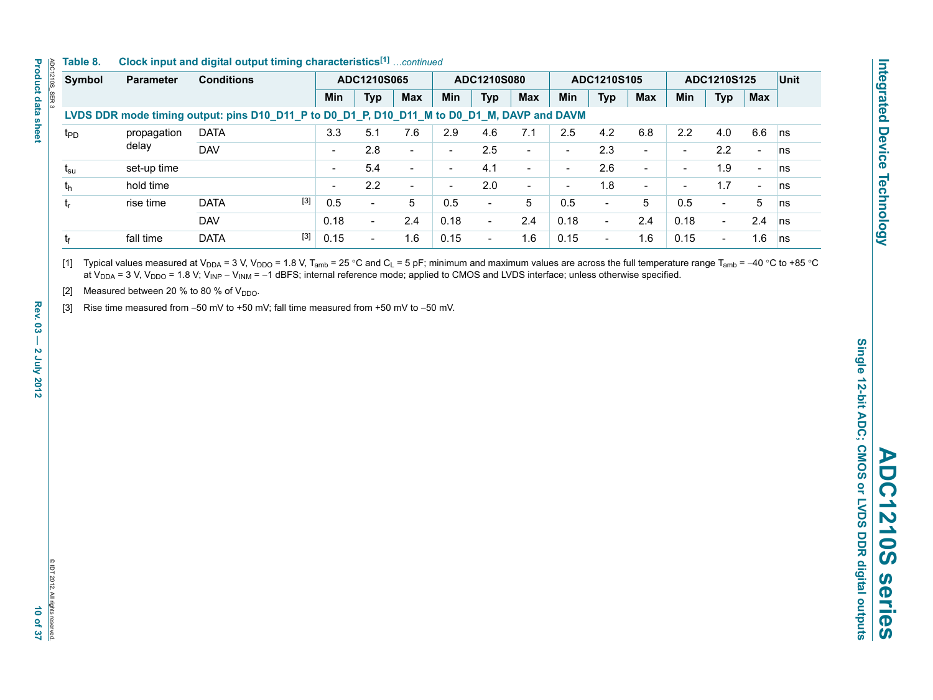#### **Table 8. Clock input and digital output timing characteristics[1]** *…continued*

| Symbol                                  | <b>Parameter</b> | <b>Conditions</b>                                                                           |                          | ADC1210S065              |                          | ADC1210S080              |                          | ADC1210S105              |                          | ADC1210S125              |                          | Unit                     |                          |                          |    |
|-----------------------------------------|------------------|---------------------------------------------------------------------------------------------|--------------------------|--------------------------|--------------------------|--------------------------|--------------------------|--------------------------|--------------------------|--------------------------|--------------------------|--------------------------|--------------------------|--------------------------|----|
|                                         |                  |                                                                                             | Min                      | <b>Typ</b>               | <b>Max</b>               | <b>Min</b>               | <b>Typ</b>               | <b>Max</b>               | <b>Min</b>               | <b>Typ</b>               | <b>Max</b>               | <b>Min</b>               | <b>Typ</b>               | <b>Max</b>               |    |
|                                         |                  | LVDS DDR mode timing output: pins D10_D11_P to D0_D1_P, D10_D11_M to D0_D1_M, DAVP and DAVM |                          |                          |                          |                          |                          |                          |                          |                          |                          |                          |                          |                          |    |
| propagation<br>$t_{\text{PD}}$<br>delay | <b>DATA</b>      | 3.3                                                                                         | 5.1                      | 7.6                      | 2.9                      | 4.6                      | 7.1                      | 2.5                      | 4.2                      | 6.8                      | 2.2                      | 4.0                      | 6.6                      | ns                       |    |
|                                         |                  | <b>DAV</b>                                                                                  |                          | 2.8                      | $\sim$                   | $\overline{\phantom{0}}$ | 2.5                      | $\overline{\phantom{a}}$ | $\overline{\phantom{0}}$ | 2.3                      | $\overline{\phantom{0}}$ |                          | 2.2                      | $\overline{\phantom{0}}$ | ns |
| $t_{\rm su}$                            | set-up time      |                                                                                             |                          | 5.4                      | $\overline{\phantom{0}}$ | $\overline{\phantom{0}}$ | 4.1                      | $\overline{\phantom{0}}$ | $\overline{\phantom{0}}$ | 2.6                      | $\overline{\phantom{a}}$ |                          | 1.9                      | $\overline{\phantom{a}}$ | ns |
| $t_{h}$                                 | hold time        |                                                                                             | $\overline{\phantom{0}}$ | 2.2                      | $\overline{\phantom{0}}$ | $\overline{\phantom{a}}$ | 2.0                      | $\sim$                   | $\overline{\phantom{a}}$ | 1.8                      | $\overline{\phantom{0}}$ | $\overline{\phantom{0}}$ | 1.7                      | $\overline{\phantom{a}}$ | ns |
| t,                                      | rise time        | $[3]$<br><b>DATA</b>                                                                        | 0.5                      | -                        | 5                        | 0.5                      | $\blacksquare$           | 5                        | 0.5                      | $\overline{\phantom{0}}$ | 5                        | 0.5                      | $\overline{\phantom{0}}$ | 5                        | ns |
|                                         |                  | <b>DAV</b>                                                                                  | 0.18                     | $\overline{\phantom{0}}$ | 2.4                      | 0.18                     | $\overline{\phantom{a}}$ | 2.4                      | 0.18                     | $\overline{\phantom{a}}$ | 2.4                      | 0.18                     | $\overline{\phantom{0}}$ | 2.4                      | ns |
| tr                                      | fall time        | $[3]$<br><b>DATA</b>                                                                        | 0.15                     |                          | 1.6                      | 0.15                     | $\overline{\phantom{a}}$ | 1.6                      | 0.15                     | $\overline{\phantom{0}}$ | 1.6                      | 0.15                     | $\overline{\phantom{0}}$ | 1.6                      | ns |

[1]  $\;$  Typical values measured at V<sub>DDA</sub> = 3 V, V<sub>DDO</sub> = 1.8 V, T<sub>amb</sub> = 25 °C and C<sub>L</sub> = 5 pF; minimum and maximum values are across the full temperature range T<sub>amb</sub> = –40 °C to +85 °C at V<sub>DDA</sub> = 3 V, V<sub>DDO</sub> = 1.8 V; V<sub>INP</sub> – V<sub>INM</sub> = –1 dBFS; internal reference mode; applied to CMOS and LVDS interface; unless otherwise specified.

[2] Measured between 20 % to 80 % of  $V_{DDO}$ .

[3] Rise time measured from  $-50$  mV to  $+50$  mV; fall time measured from  $+50$  mV to  $-50$  mV.

ADC1210S\_SER 3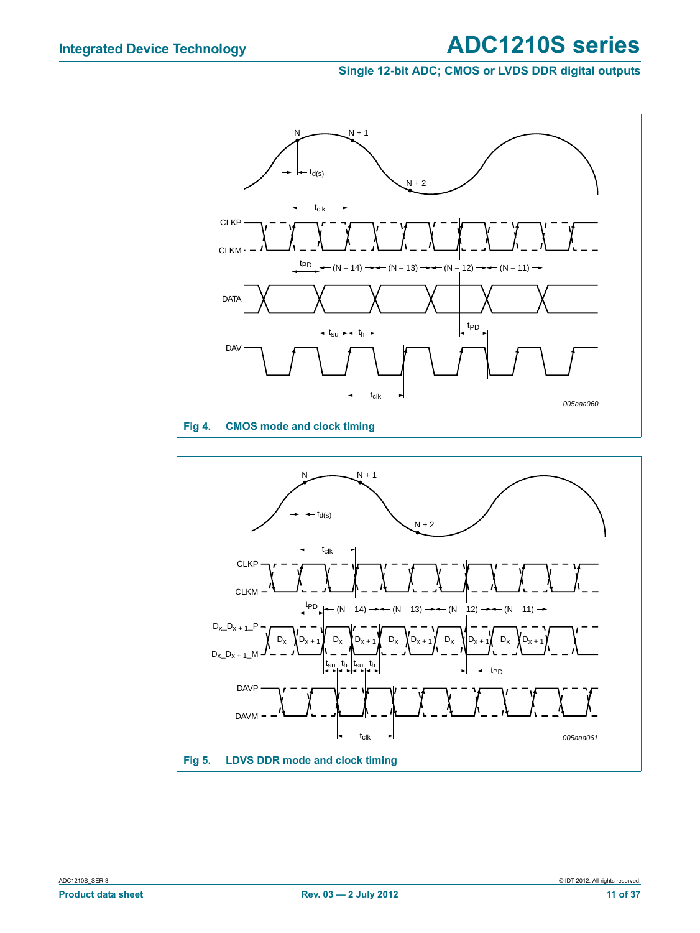#### **Single 12-bit ADC; CMOS or LVDS DDR digital outputs**



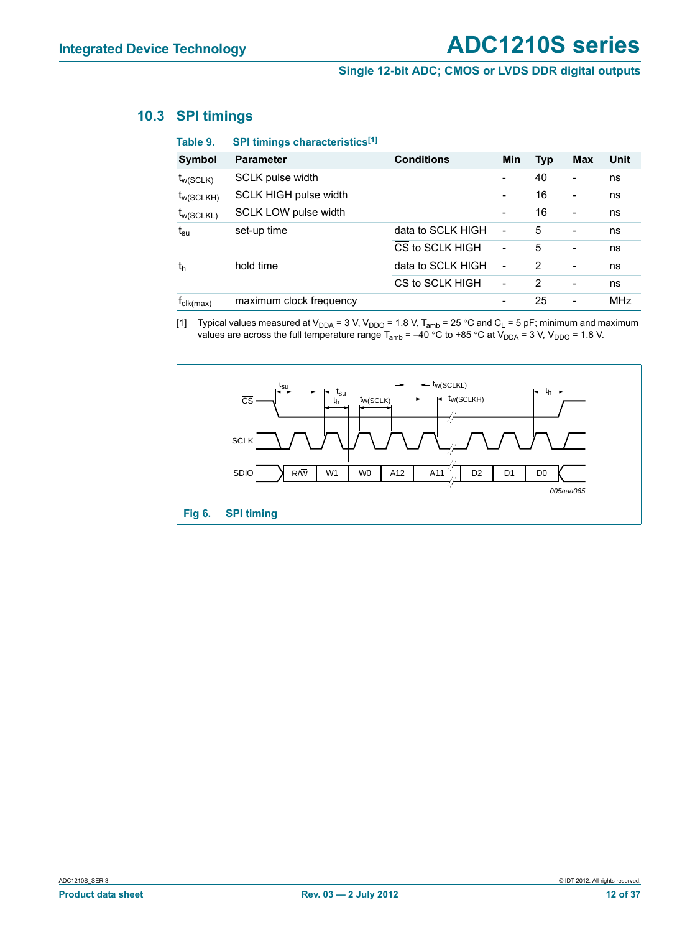#### **10.3 SPI timings**

| Table 9.                     | SPI timings characteristics <sup>[1]</sup> |                   |                          |            |                          |      |
|------------------------------|--------------------------------------------|-------------------|--------------------------|------------|--------------------------|------|
| Symbol                       | <b>Parameter</b>                           | <b>Conditions</b> | <b>Min</b>               | <b>Typ</b> | Max                      | Unit |
| $t_{w(SCLK)}$                | SCLK pulse width                           |                   |                          | 40         | $\blacksquare$           | ns   |
| $t_{w(SCLKH)}$               | SCLK HIGH pulse width                      |                   |                          | 16         |                          | ns   |
| $t_{w(SCLKL)}$               | SCLK LOW pulse width                       |                   | $\overline{\phantom{a}}$ | 16         | $\blacksquare$           | ns   |
| $t_{\rm su}$                 | set-up time                                | data to SCLK HIGH | $\overline{\phantom{a}}$ | 5          | $\overline{a}$           | ns   |
|                              |                                            | CS to SCLK HIGH   | $\overline{\phantom{a}}$ | 5          | $\overline{\phantom{a}}$ | ns   |
| th                           | hold time                                  | data to SCLK HIGH | $\overline{\phantom{0}}$ | 2          | $\overline{a}$           | ns   |
|                              |                                            | CS to SCLK HIGH   | ۰                        | 2          | $\overline{\phantom{0}}$ | ns   |
| $f_{\text{clk}(\text{max})}$ | maximum clock frequency                    |                   |                          | 25         |                          | MHz  |

[1] Typical values measured at V<sub>DDA</sub> = 3 V, V<sub>DDO</sub> = 1.8 V, T<sub>amb</sub> = 25 °C and C<sub>L</sub> = 5 pF; minimum and maximum values are across the full temperature range T<sub>amb</sub> = –40 °C to +85 °C at V<sub>DDA</sub> = 3 V, V<sub>DDO</sub> = 1.8 V.

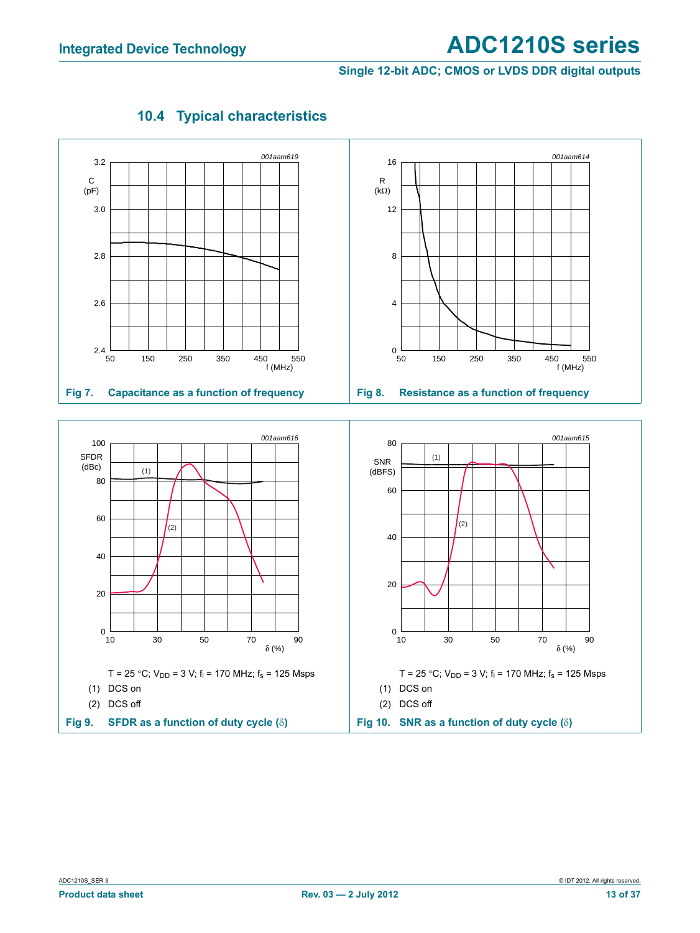#### **Single 12-bit ADC; CMOS or LVDS DDR digital outputs**



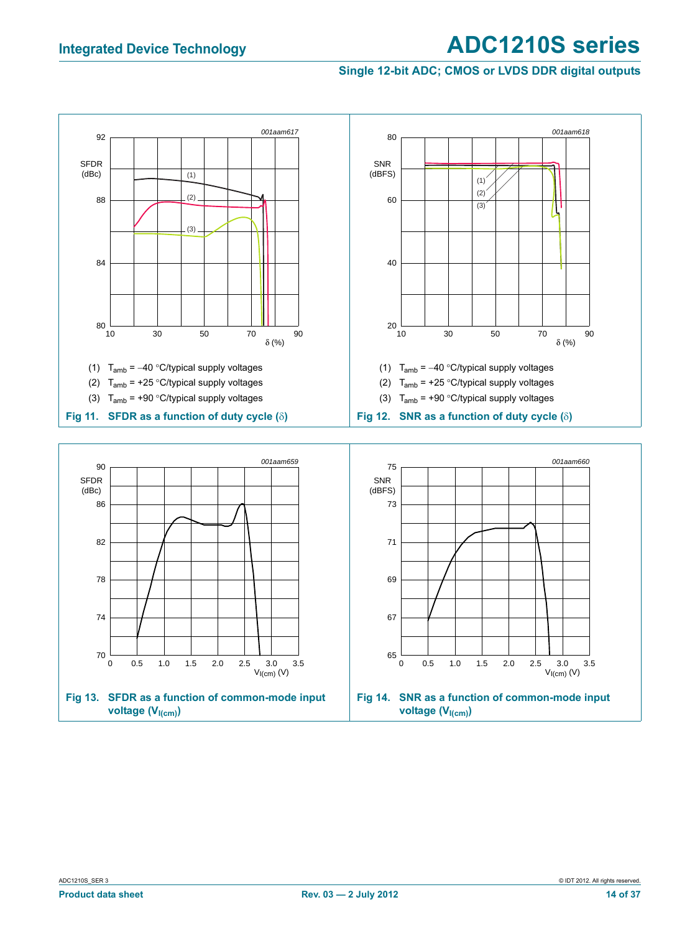#### **Single 12-bit ADC; CMOS or LVDS DDR digital outputs**

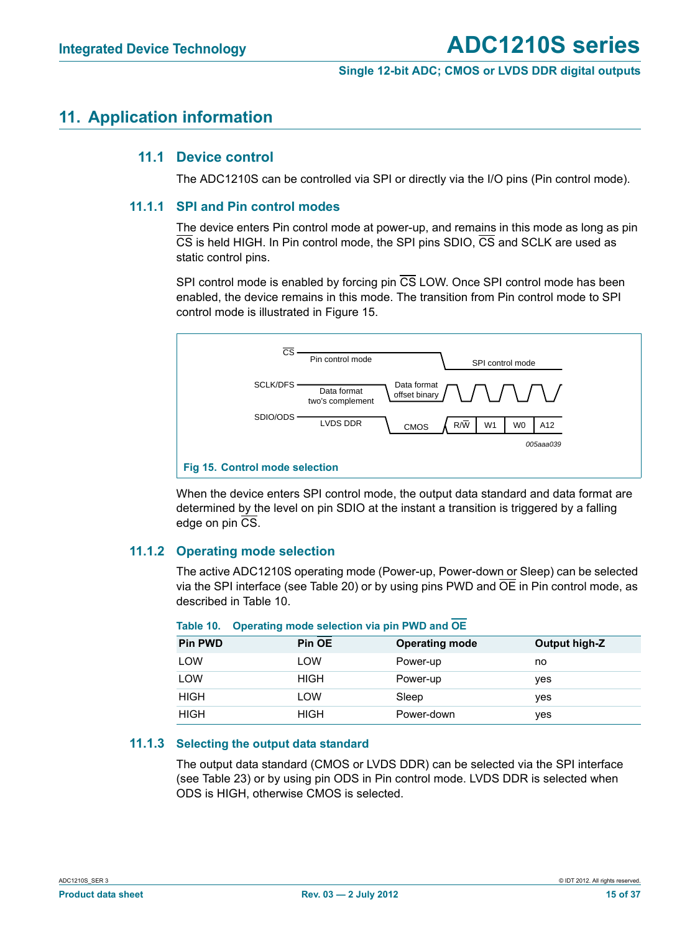## **11. Application information**

#### **11.1 Device control**

The ADC1210S can be controlled via SPI or directly via the I/O pins (Pin control mode).

#### **11.1.1 SPI and Pin control modes**

The device enters Pin control mode at power-up, and remains in this mode as long as pin CS is held HIGH. In Pin control mode, the SPI pins SDIO, CS and SCLK are used as static control pins.

SPI control mode is enabled by forcing pin  $\overline{\text{CS}}$  LOW. Once SPI control mode has been enabled, the device remains in this mode. The transition from Pin control mode to SPI control mode is illustrated in Figure 15.



When the device enters SPI control mode, the output data standard and data format are determined by the level on pin SDIO at the instant a transition is triggered by a falling edge on pin CS.

#### **11.1.2 Operating mode selection**

The active ADC1210S operating mode (Power-up, Power-down or Sleep) can be selected via the SPI interface (see Table 20) or by using pins PWD and OE in Pin control mode, as described in Table 10.

| <b>Pin PWD</b> | Pin OE      | <b>Operating mode</b> | Output high-Z |
|----------------|-------------|-----------------------|---------------|
| LOW            | LOW         | Power-up              | no            |
| LOW            | <b>HIGH</b> | Power-up              | <b>ves</b>    |
| <b>HIGH</b>    | LOW         | Sleep                 | yes           |
| <b>HIGH</b>    | <b>HIGH</b> | Power-down            | yes           |

#### **Table 10. Operating mode selection via pin PWD and OE**

#### **11.1.3 Selecting the output data standard**

The output data standard (CMOS or LVDS DDR) can be selected via the SPI interface (see Table 23) or by using pin ODS in Pin control mode. LVDS DDR is selected when ODS is HIGH, otherwise CMOS is selected.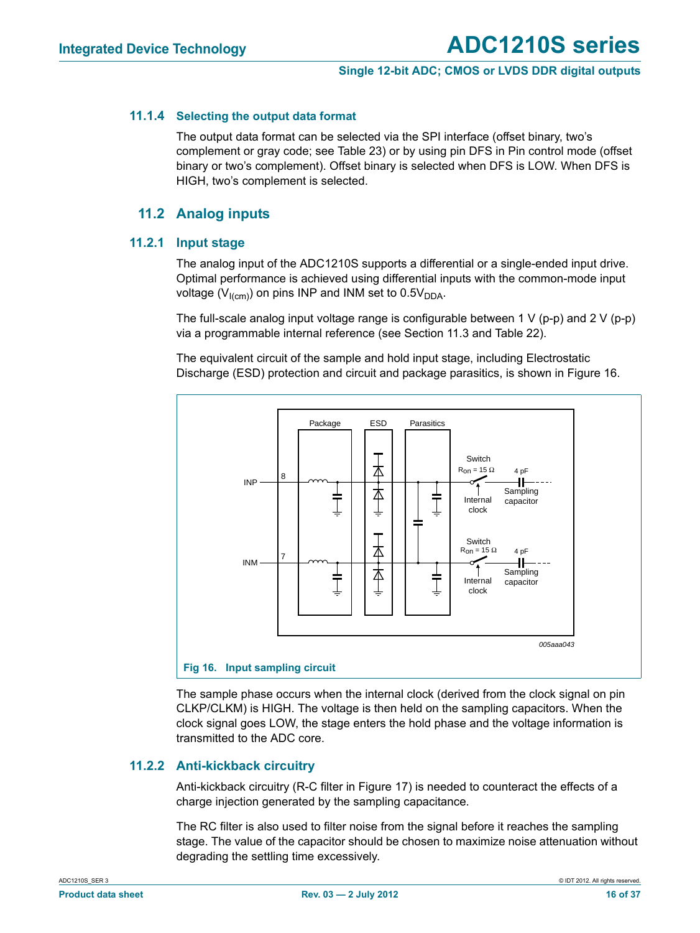#### **11.1.4 Selecting the output data format**

The output data format can be selected via the SPI interface (offset binary, two's complement or gray code; see Table 23) or by using pin DFS in Pin control mode (offset binary or two's complement). Offset binary is selected when DFS is LOW. When DFS is HIGH, two's complement is selected.

#### **11.2 Analog inputs**

#### **11.2.1 Input stage**

The analog input of the ADC1210S supports a differential or a single-ended input drive. Optimal performance is achieved using differential inputs with the common-mode input voltage ( $V_{I(cm)}$ ) on pins INP and INM set to 0.5 $V_{DDA}$ .

The full-scale analog input voltage range is configurable between 1 V (p-p) and 2 V (p-p) via a programmable internal reference (see Section 11.3 and Table 22).

The equivalent circuit of the sample and hold input stage, including Electrostatic Discharge (ESD) protection and circuit and package parasitics, is shown in Figure 16.



The sample phase occurs when the internal clock (derived from the clock signal on pin CLKP/CLKM) is HIGH. The voltage is then held on the sampling capacitors. When the clock signal goes LOW, the stage enters the hold phase and the voltage information is transmitted to the ADC core.

#### **11.2.2 Anti-kickback circuitry**

Anti-kickback circuitry (R-C filter in Figure 17) is needed to counteract the effects of a charge injection generated by the sampling capacitance.

The RC filter is also used to filter noise from the signal before it reaches the sampling stage. The value of the capacitor should be chosen to maximize noise attenuation without degrading the settling time excessively.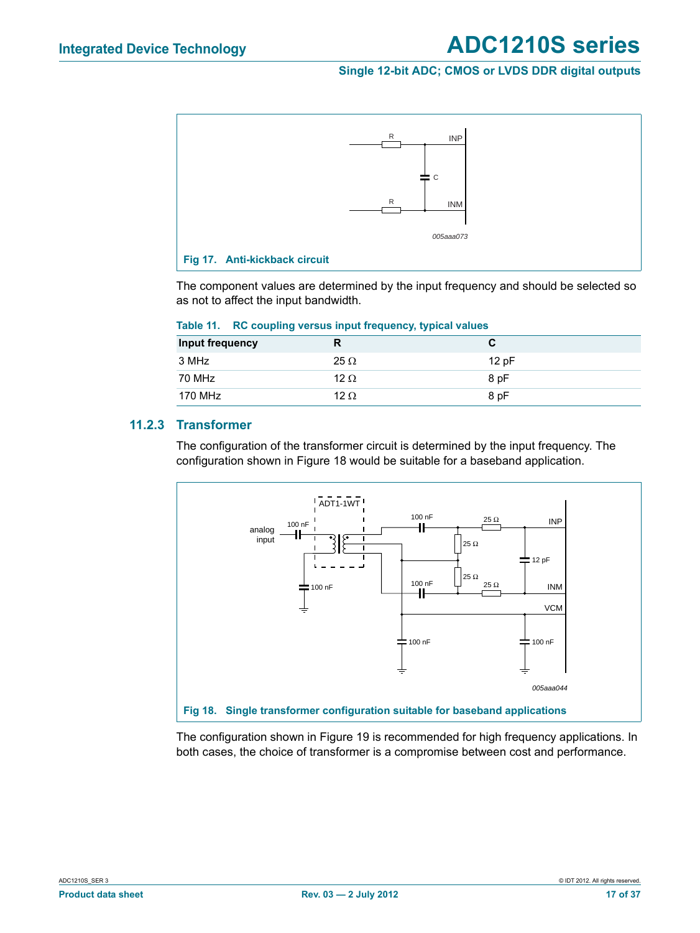#### **Single 12-bit ADC; CMOS or LVDS DDR digital outputs**



The component values are determined by the input frequency and should be selected so as not to affect the input bandwidth.

| Input frequency | R           |      |
|-----------------|-------------|------|
| 3 MHz           | $25 \Omega$ | 12pF |
| 70 MHz          | 12 $\Omega$ | 8 pF |
| 170 MHz         | 12 $\Omega$ | 8 pF |

#### **Table 11. RC coupling versus input frequency, typical values**

#### **11.2.3 Transformer**

The configuration of the transformer circuit is determined by the input frequency. The configuration shown in Figure 18 would be suitable for a baseband application.



The configuration shown in Figure 19 is recommended for high frequency applications. In both cases, the choice of transformer is a compromise between cost and performance.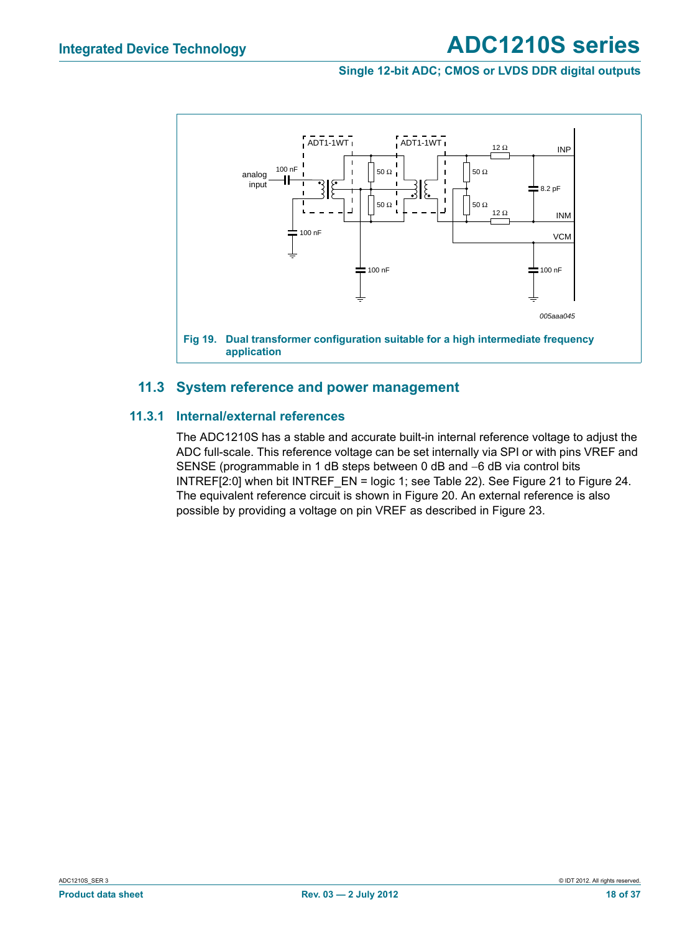#### **Single 12-bit ADC; CMOS or LVDS DDR digital outputs**



#### **11.3 System reference and power management**

#### **11.3.1 Internal/external references**

The ADC1210S has a stable and accurate built-in internal reference voltage to adjust the ADC full-scale. This reference voltage can be set internally via SPI or with pins VREF and SENSE (programmable in 1 dB steps between 0 dB and  $-6$  dB via control bits INTREF[2:0] when bit INTREF\_EN = logic 1; see Table 22). See Figure 21 to Figure 24. The equivalent reference circuit is shown in Figure 20. An external reference is also possible by providing a voltage on pin VREF as described in Figure 23.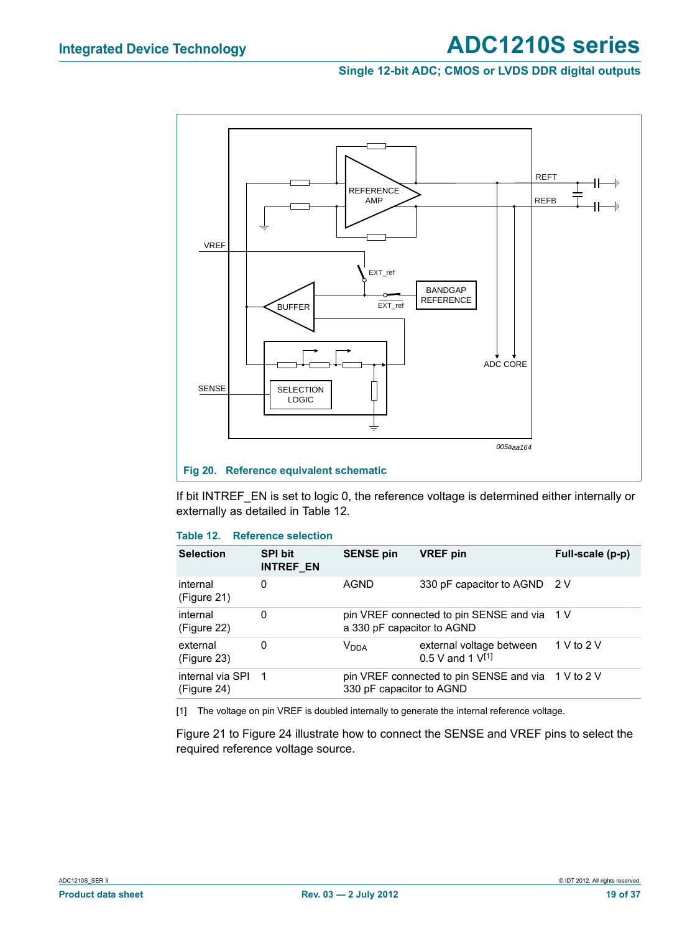#### **Single 12-bit ADC; CMOS or LVDS DDR digital outputs**



If bit INTREF\_EN is set to logic 0, the reference voltage is determined either internally or externally as detailed in Table 12.

#### **Table 12. Reference selection**

| <b>Selection</b>                | <b>SPI bit</b><br><b>INTREF EN</b> | <b>SENSE pin</b>           | <b>VREF</b> pin                                     | Full-scale (p-p) |
|---------------------------------|------------------------------------|----------------------------|-----------------------------------------------------|------------------|
| internal<br>(Figure 21)         | 0                                  | AGND                       | 330 pF capacitor to AGND 2 V                        |                  |
| internal<br>(Figure 22)         | 0                                  | a 330 pF capacitor to AGND | pin VREF connected to pin SENSE and via 1 V         |                  |
| external<br>(Figure 23)         | 0                                  | Vnna                       | external voltage between<br>$0.5$ V and 1 $V^{[1]}$ | 1 V to 2 V       |
| internal via SPI<br>(Figure 24) | - 1                                | 330 pF capacitor to AGND   | pin VREF connected to pin SENSE and via 1 V to 2 V  |                  |

[1] The voltage on pin VREF is doubled internally to generate the internal reference voltage.

Figure 21 to Figure 24 illustrate how to connect the SENSE and VREF pins to select the required reference voltage source.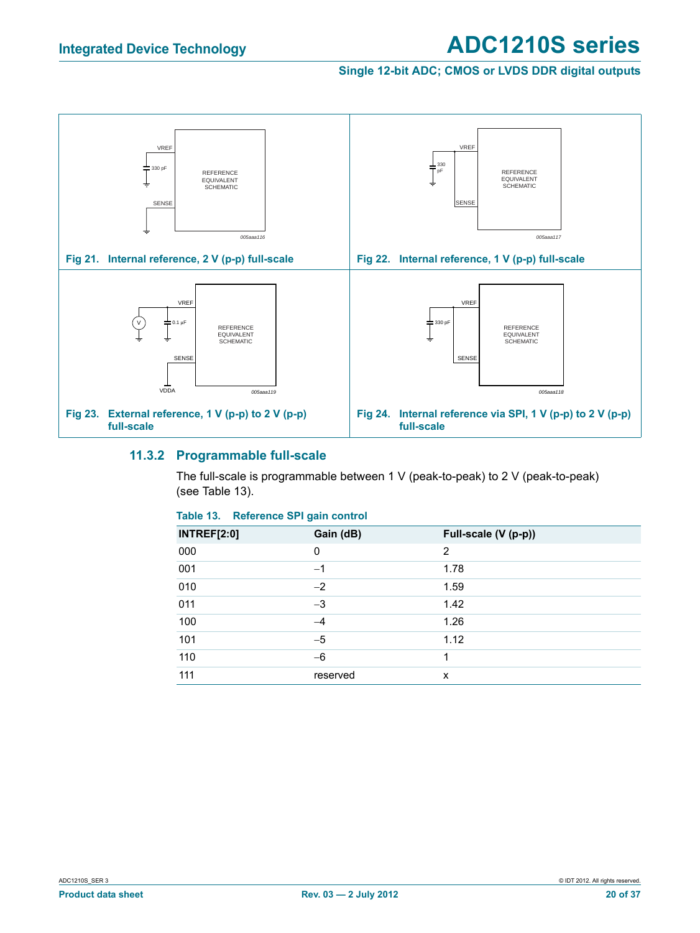#### **Single 12-bit ADC; CMOS or LVDS DDR digital outputs**



#### **11.3.2 Programmable full-scale**

The full-scale is programmable between 1 V (peak-to-peak) to 2 V (peak-to-peak) (see Table 13).

#### **Table 13. Reference SPI gain control**

| <b>INTREF[2:0]</b> | Gain (dB) | Full-scale (V (p-p)) |
|--------------------|-----------|----------------------|
| 000                | 0         | 2                    |
| 001                | $-1$      | 1.78                 |
| 010                | $-2$      | 1.59                 |
| 011                | $-3$      | 1.42                 |
| 100                | -4        | 1.26                 |
| 101                | $-5$      | 1.12                 |
| 110                | $-6$      | 1                    |
| 111                | reserved  | X                    |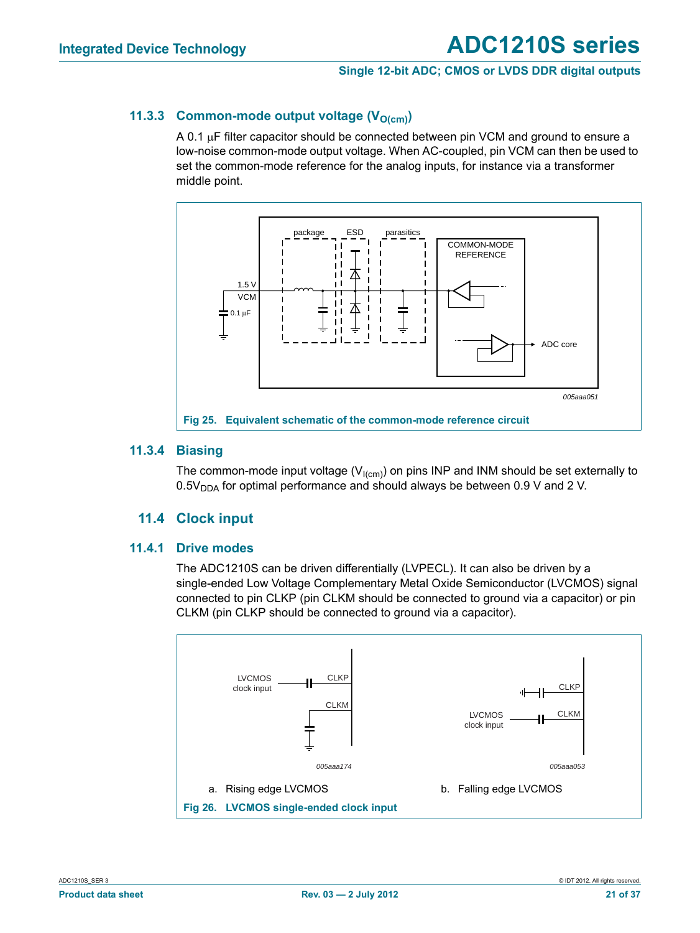#### **11.3.3 Common-mode output voltage (V<sub>O(cm)</sub>)**

A 0.1  $\mu$ F filter capacitor should be connected between pin VCM and ground to ensure a low-noise common-mode output voltage. When AC-coupled, pin VCM can then be used to set the common-mode reference for the analog inputs, for instance via a transformer middle point.



#### **11.3.4 Biasing**

The common-mode input voltage ( $V<sub>l(cm)</sub>$ ) on pins INP and INM should be set externally to  $0.5V<sub>DDA</sub>$  for optimal performance and should always be between 0.9 V and 2 V.

#### **11.4 Clock input**

#### **11.4.1 Drive modes**

The ADC1210S can be driven differentially (LVPECL). It can also be driven by a single-ended Low Voltage Complementary Metal Oxide Semiconductor (LVCMOS) signal connected to pin CLKP (pin CLKM should be connected to ground via a capacitor) or pin CLKM (pin CLKP should be connected to ground via a capacitor).

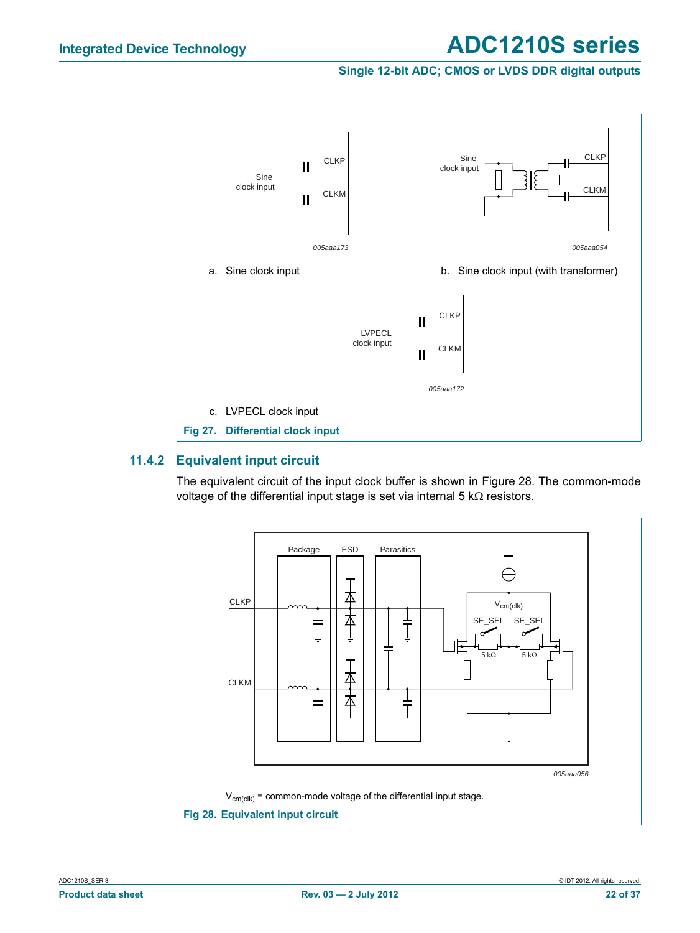#### **Single 12-bit ADC; CMOS or LVDS DDR digital outputs**



#### **11.4.2 Equivalent input circuit**

The equivalent circuit of the input clock buffer is shown in Figure 28. The common-mode voltage of the differential input stage is set via internal  $5 \text{ k}\Omega$  resistors.

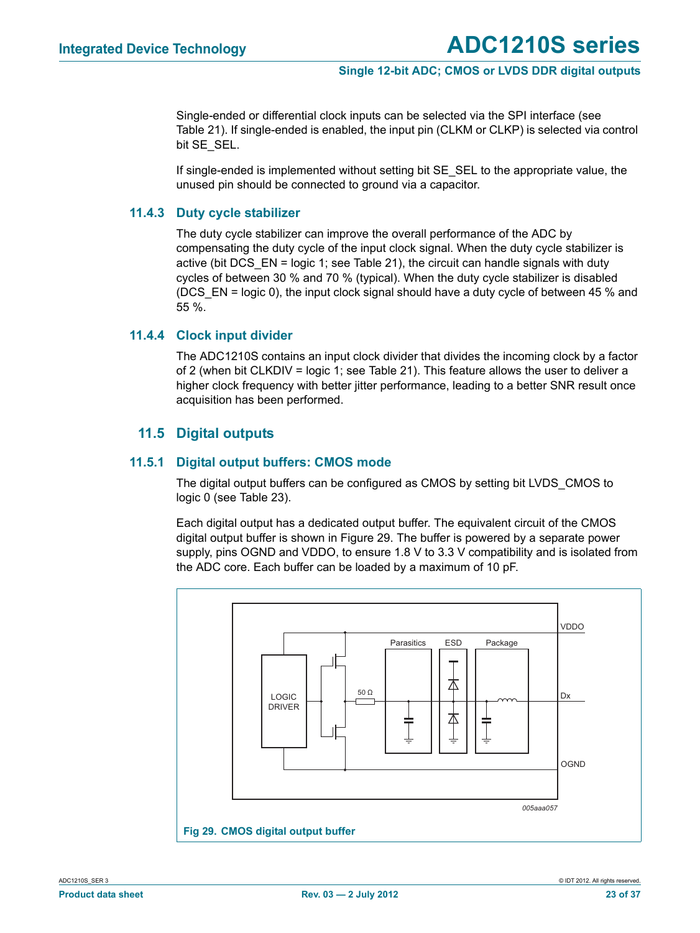Single-ended or differential clock inputs can be selected via the SPI interface (see Table 21). If single-ended is enabled, the input pin (CLKM or CLKP) is selected via control bit SE\_SEL.

If single-ended is implemented without setting bit SE\_SEL to the appropriate value, the unused pin should be connected to ground via a capacitor.

#### **11.4.3 Duty cycle stabilizer**

The duty cycle stabilizer can improve the overall performance of the ADC by compensating the duty cycle of the input clock signal. When the duty cycle stabilizer is active (bit DCS  $EN =$  logic 1; see Table 21), the circuit can handle signals with duty cycles of between 30 % and 70 % (typical). When the duty cycle stabilizer is disabled (DCS  $EN =$  logic 0), the input clock signal should have a duty cycle of between 45 % and 55 %.

#### **11.4.4 Clock input divider**

The ADC1210S contains an input clock divider that divides the incoming clock by a factor of 2 (when bit CLKDIV = logic 1; see Table 21). This feature allows the user to deliver a higher clock frequency with better jitter performance, leading to a better SNR result once acquisition has been performed.

#### **11.5 Digital outputs**

#### **11.5.1 Digital output buffers: CMOS mode**

The digital output buffers can be configured as CMOS by setting bit LVDS\_CMOS to logic 0 (see Table 23).

Each digital output has a dedicated output buffer. The equivalent circuit of the CMOS digital output buffer is shown in Figure 29. The buffer is powered by a separate power supply, pins OGND and VDDO, to ensure 1.8 V to 3.3 V compatibility and is isolated from the ADC core. Each buffer can be loaded by a maximum of 10 pF.

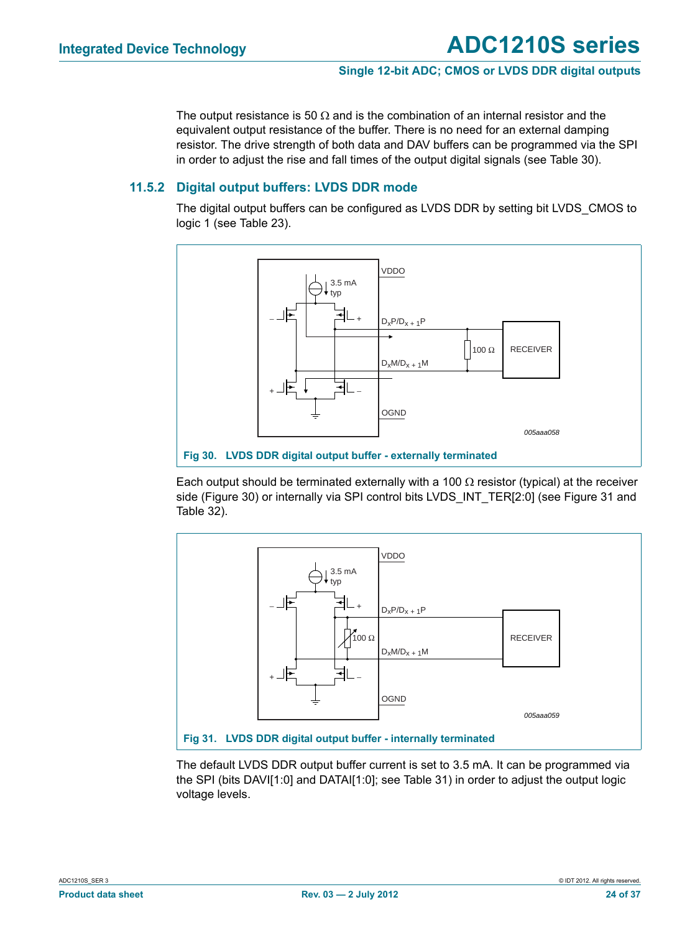The output resistance is 50  $\Omega$  and is the combination of an internal resistor and the equivalent output resistance of the buffer. There is no need for an external damping resistor. The drive strength of both data and DAV buffers can be programmed via the SPI in order to adjust the rise and fall times of the output digital signals (see Table 30).

#### **11.5.2 Digital output buffers: LVDS DDR mode**

The digital output buffers can be configured as LVDS DDR by setting bit LVDS\_CMOS to logic 1 (see Table 23).



Each output should be terminated externally with a 100  $\Omega$  resistor (typical) at the receiver side (Figure 30) or internally via SPI control bits LVDS INT TER[2:0] (see Figure 31 and Table 32).



The default LVDS DDR output buffer current is set to 3.5 mA. It can be programmed via the SPI (bits DAVI[1:0] and DATAI[1:0]; see Table 31) in order to adjust the output logic voltage levels.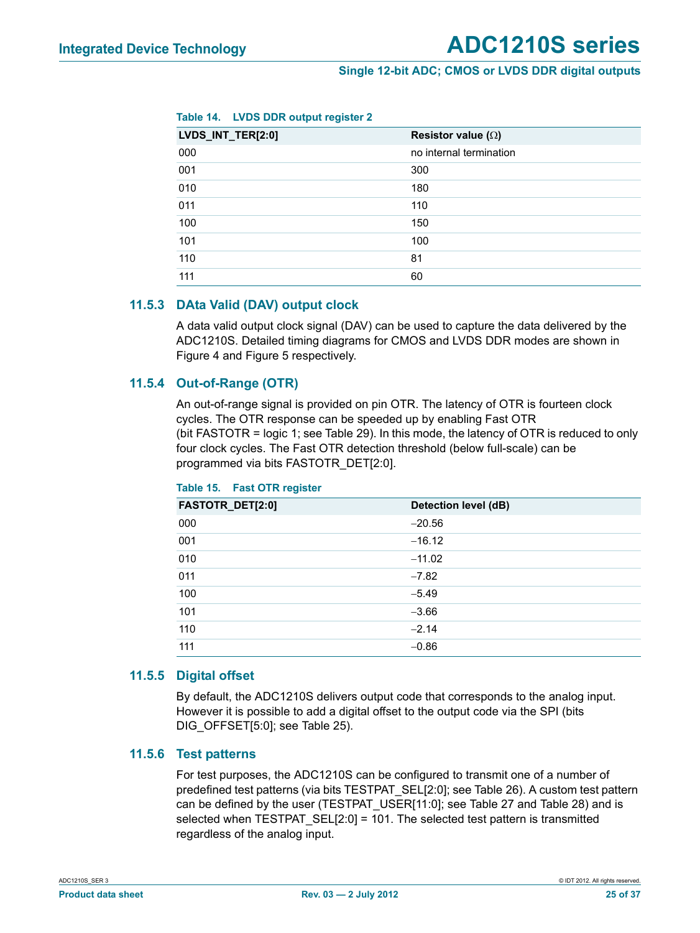| Table 14. |  | <b>LVDS DDR output register 2</b> |  |
|-----------|--|-----------------------------------|--|
|           |  |                                   |  |

| LVDS_INT_TER[2:0] | Resistor value $(\Omega)$ |
|-------------------|---------------------------|
| 000               | no internal termination   |
| 001               | 300                       |
| 010               | 180                       |
| 011               | 110                       |
| 100               | 150                       |
| 101               | 100                       |
| 110               | 81                        |
| 111               | 60                        |

#### **11.5.3 DAta Valid (DAV) output clock**

A data valid output clock signal (DAV) can be used to capture the data delivered by the ADC1210S. Detailed timing diagrams for CMOS and LVDS DDR modes are shown in Figure 4 and Figure 5 respectively.

#### **11.5.4 Out-of-Range (OTR)**

An out-of-range signal is provided on pin OTR. The latency of OTR is fourteen clock cycles. The OTR response can be speeded up by enabling Fast OTR (bit FASTOTR = logic 1; see Table 29). In this mode, the latency of OTR is reduced to only four clock cycles. The Fast OTR detection threshold (below full-scale) can be programmed via bits FASTOTR\_DET[2:0].

| FASTOTR_DET[2:0] | Detection level (dB) |
|------------------|----------------------|
| 000              | $-20.56$             |
| 001              | $-16.12$             |
| 010              | $-11.02$             |
| 011              | $-7.82$              |
| 100              | $-5.49$              |
| 101              | $-3.66$              |
| 110              | $-2.14$              |
| 111              | $-0.86$              |

#### **Table 15. Fast OTR register**

#### **11.5.5 Digital offset**

By default, the ADC1210S delivers output code that corresponds to the analog input. However it is possible to add a digital offset to the output code via the SPI (bits DIG\_OFFSET[5:0]; see Table 25).

#### **11.5.6 Test patterns**

For test purposes, the ADC1210S can be configured to transmit one of a number of predefined test patterns (via bits TESTPAT\_SEL[2:0]; see Table 26). A custom test pattern can be defined by the user (TESTPAT\_USER[11:0]; see Table 27 and Table 28) and is selected when TESTPAT\_SEL[2:0] = 101. The selected test pattern is transmitted regardless of the analog input.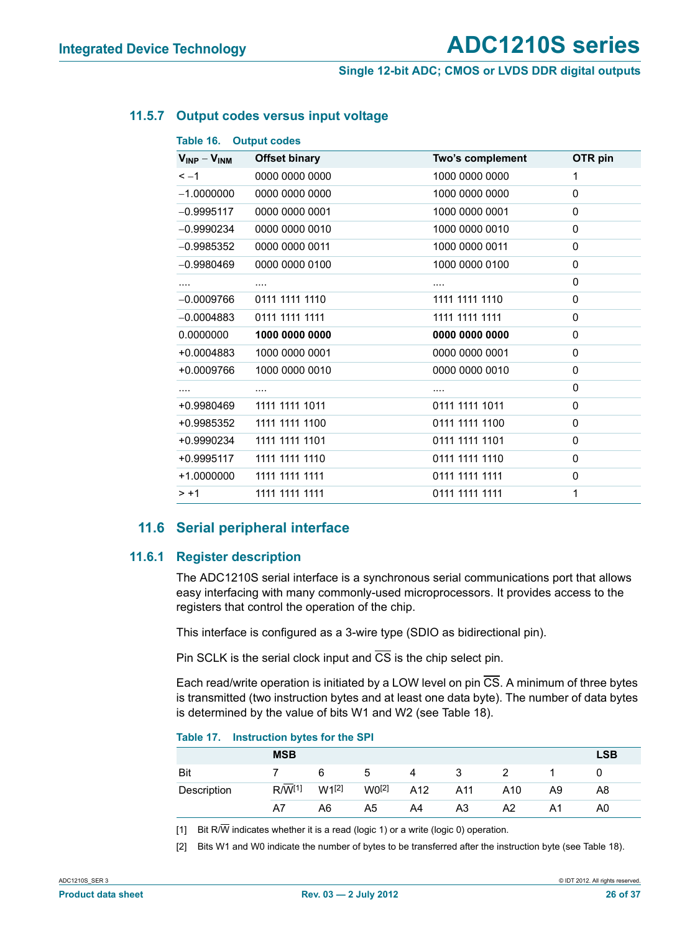#### **Single 12-bit ADC; CMOS or LVDS DDR digital outputs**

#### **11.5.7 Output codes versus input voltage**

| $V_{INP} - V_{INM}$ | <b>Offset binary</b> | Two's complement | OTR pin  |
|---------------------|----------------------|------------------|----------|
| $\leq -1$           | 0000 0000 0000       | 1000 0000 0000   | 1        |
| $-1.0000000$        | 0000 0000 0000       | 1000 0000 0000   | 0        |
| $-0.9995117$        | 0000 0000 0001       | 1000 0000 0001   | 0        |
| $-0.9990234$        | 0000 0000 0010       | 1000 0000 0010   | $\Omega$ |
| $-0.9985352$        | 0000 0000 0011       | 1000 0000 0011   | 0        |
| $-0.9980469$        | 0000 0000 0100       | 1000 0000 0100   | $\Omega$ |
| .                   | $\cdots$             | $\cdots$         | 0        |
| $-0.0009766$        | 0111 1111 1110       | 1111 1111 1110   | 0        |
| $-0.0004883$        | 0111 1111 1111       | 1111 1111 1111   | 0        |
| 0.0000000           | 1000 0000 0000       | 0000 0000 0000   | 0        |
| +0.0004883          | 1000 0000 0001       | 0000 0000 0001   | $\Omega$ |
| +0.0009766          | 1000 0000 0010       | 0000 0000 0010   | 0        |
| .                   | $\cdots$             | $\cdots$         | 0        |
| +0.9980469          | 1111 1111 1011       | 0111 1111 1011   | 0        |
| +0.9985352          | 1111 1111 1100       | 0111 1111 1100   | 0        |
| +0.9990234          | 1111 1111 1101       | 0111 1111 1101   | 0        |
| +0.9995117          | 1111 1111 1110       | 0111 1111 1110   | 0        |
| +1.0000000          | 1111 1111 1111       | 0111 1111 1111   | 0        |
| $> +1$              | 1111 1111 1111       | 0111 1111 1111   | 1        |
|                     |                      |                  |          |

#### **11.6 Serial peripheral interface**

#### **11.6.1 Register description**

The ADC1210S serial interface is a synchronous serial communications port that allows easy interfacing with many commonly-used microprocessors. It provides access to the registers that control the operation of the chip.

This interface is configured as a 3-wire type (SDIO as bidirectional pin).

Pin SCLK is the serial clock input and  $\overline{CS}$  is the chip select pin.

Each read/write operation is initiated by a LOW level on pin  $\overline{CS}$ . A minimum of three bytes is transmitted (two instruction bytes and at least one data byte). The number of data bytes is determined by the value of bits W1 and W2 (see Table 18).

#### **Table 17. Instruction bytes for the SPI**

|             | <b>MSB</b>         |            |                   |     |     |     |    | <b>LSB</b> |
|-------------|--------------------|------------|-------------------|-----|-----|-----|----|------------|
| Bit         |                    | 6          | b                 | 4   | 3   |     |    |            |
| Description | R/W <sup>[1]</sup> | $W1^{[2]}$ | W0 <sup>[2]</sup> | A12 | A11 | A10 | A9 | A8         |
|             | A7                 | A6         | A5                | A4  | A3  | A2  |    | A0         |

[1] Bit R/ $\overline{W}$  indicates whether it is a read (logic 1) or a write (logic 0) operation.

[2] Bits W1 and W0 indicate the number of bytes to be transferred after the instruction byte (see Table 18).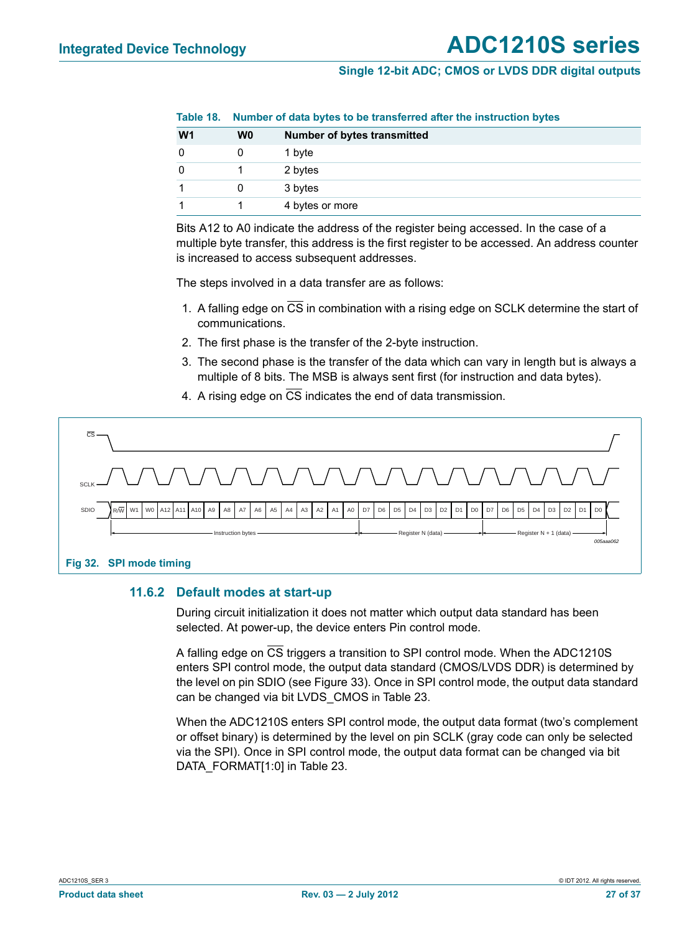|                |                | Table 10. Number of data bytes to be transferred after the instruction bytes |  |  |  |  |  |
|----------------|----------------|------------------------------------------------------------------------------|--|--|--|--|--|
| W <sub>1</sub> | W <sub>0</sub> | <b>Number of bytes transmitted</b>                                           |  |  |  |  |  |
|                |                | 1 byte                                                                       |  |  |  |  |  |
|                |                | 2 bytes                                                                      |  |  |  |  |  |
|                |                | 3 bytes                                                                      |  |  |  |  |  |
|                |                | 4 bytes or more                                                              |  |  |  |  |  |

**Table 18. Number of data bytes to be transferred after the instruction bytes**

Bits A12 to A0 indicate the address of the register being accessed. In the case of a multiple byte transfer, this address is the first register to be accessed. An address counter is increased to access subsequent addresses.

The steps involved in a data transfer are as follows:

- 1. A falling edge on CS in combination with a rising edge on SCLK determine the start of communications.
- 2. The first phase is the transfer of the 2-byte instruction.
- 3. The second phase is the transfer of the data which can vary in length but is always a multiple of 8 bits. The MSB is always sent first (for instruction and data bytes).
- 4. A rising edge on  $\overline{CS}$  indicates the end of data transmission.



#### **11.6.2 Default modes at start-up**

During circuit initialization it does not matter which output data standard has been selected. At power-up, the device enters Pin control mode.

A falling edge on CS triggers a transition to SPI control mode. When the ADC1210S enters SPI control mode, the output data standard (CMOS/LVDS DDR) is determined by the level on pin SDIO (see Figure 33). Once in SPI control mode, the output data standard can be changed via bit LVDS\_CMOS in Table 23.

When the ADC1210S enters SPI control mode, the output data format (two's complement or offset binary) is determined by the level on pin SCLK (gray code can only be selected via the SPI). Once in SPI control mode, the output data format can be changed via bit DATA\_FORMAT[1:0] in Table 23.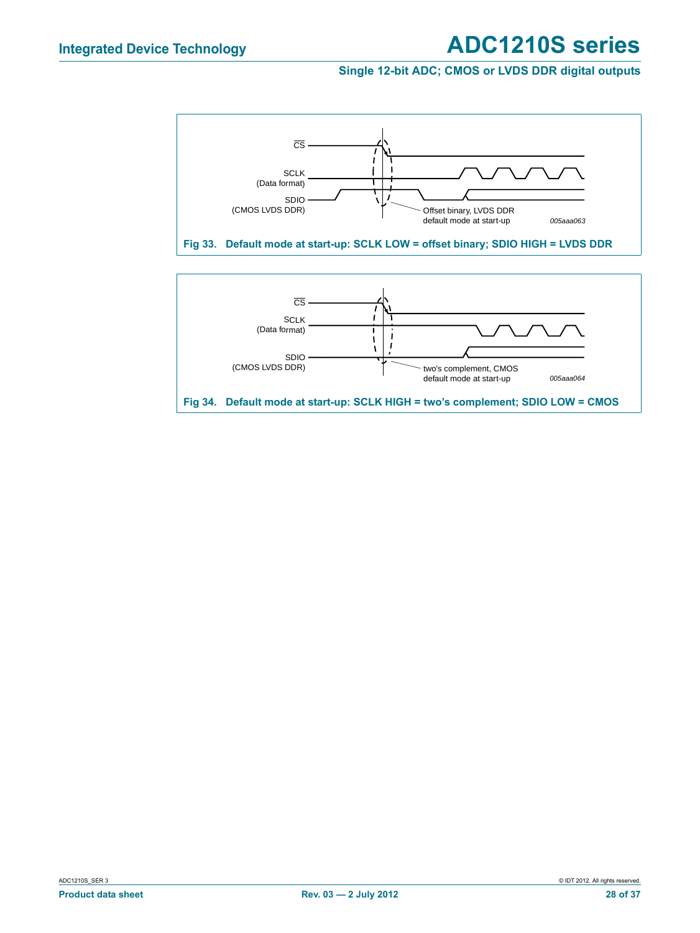#### **Single 12-bit ADC; CMOS or LVDS DDR digital outputs**

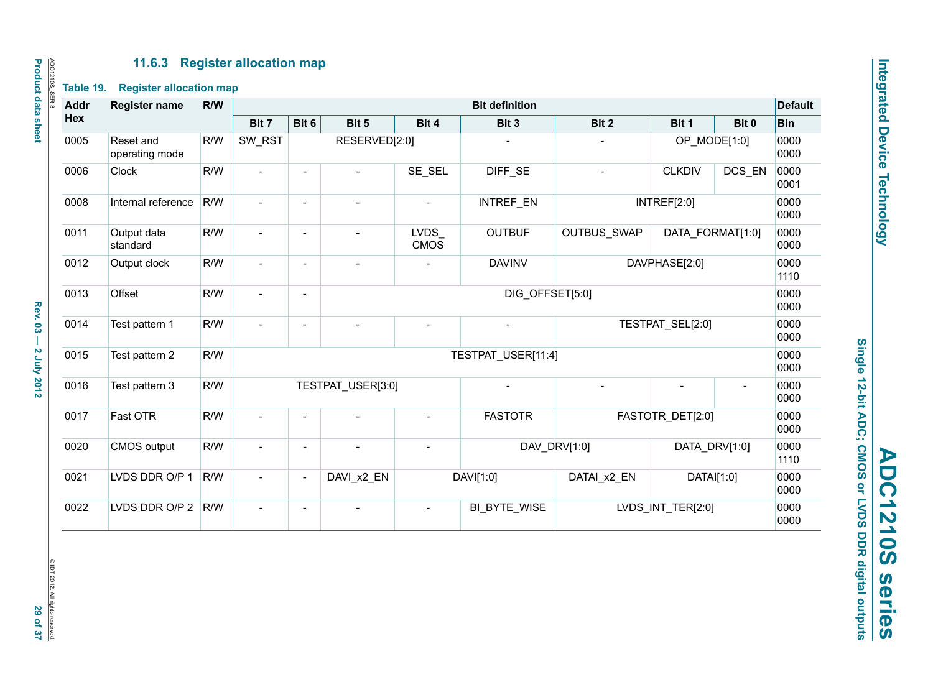#### **11.6.3 Register allocation map**

| <b>Addr</b> | <b>Register name</b>        | R/W |                          |                          |                                |                            | <b>Bit definition</b> |                    |                   |                | <b>Default</b> |
|-------------|-----------------------------|-----|--------------------------|--------------------------|--------------------------------|----------------------------|-----------------------|--------------------|-------------------|----------------|----------------|
| Hex         |                             |     | Bit 7                    | Bit 6                    | Bit 5                          | Bit 4                      | Bit 3                 | Bit 2              | Bit 1             | Bit 0          | <b>Bin</b>     |
| 0005        | Reset and<br>operating mode | R/W | SW_RST                   |                          | RESERVED[2:0]                  |                            |                       |                    | OP_MODE[1:0]      |                | 0000<br>0000   |
| 0006        | Clock                       | R/W | $\blacksquare$           | $\blacksquare$           | $\overline{a}$                 | SE SEL                     | DIFF SE               | $\overline{a}$     | <b>CLKDIV</b>     | DCS EN         | 0000<br>0001   |
| 0008        | Internal reference          | R/W | $\overline{\phantom{a}}$ | $\overline{\phantom{a}}$ | $\blacksquare$                 | $\overline{\phantom{a}}$   | <b>INTREF EN</b>      |                    | INTREF[2:0]       |                | 0000<br>0000   |
| 0011        | Output data<br>standard     | R/W | $\overline{\phantom{a}}$ | $\blacksquare$           |                                | <b>LVDS</b><br><b>CMOS</b> | <b>OUTBUF</b>         | <b>OUTBUS SWAP</b> | DATA FORMAT[1:0]  |                | 0000<br>0000   |
| 0012        | Output clock                | R/W | $\overline{\phantom{0}}$ | $\overline{\phantom{a}}$ | <b>DAVINV</b><br>DAVPHASE[2:0] |                            |                       |                    |                   | 0000<br>1110   |                |
| 0013        | Offset                      | R/W | $\sim$                   | $\overline{\phantom{a}}$ | DIG OFFSET[5:0]                |                            |                       |                    |                   |                | 0000<br>0000   |
| 0014        | Test pattern 1              | R/W | $\overline{\phantom{a}}$ | $\overline{\phantom{a}}$ |                                |                            |                       | TESTPAT SEL[2:0]   |                   |                | 0000<br>0000   |
| 0015        | Test pattern 2              | R/W |                          |                          |                                |                            | TESTPAT USER[11:4]    |                    |                   |                | 0000<br>0000   |
| 0016        | Test pattern 3              | R/W |                          |                          | TESTPAT USER[3:0]              |                            |                       |                    |                   | $\blacksquare$ | 0000<br>0000   |
| 0017        | Fast OTR                    | R/W | $\overline{\phantom{a}}$ | $\overline{\phantom{a}}$ |                                | $\overline{\phantom{a}}$   | <b>FASTOTR</b>        |                    | FASTOTR DET[2:0]  |                | 0000<br>0000   |
| 0020        | <b>CMOS</b> output          | R/W |                          | $\overline{\phantom{a}}$ |                                |                            |                       | DAV_DRV[1:0]       | DATA_DRV[1:0]     |                | 0000<br>1110   |
| 0021        | LVDS DDR O/P 1              | R/W | $\overline{\phantom{0}}$ | $\overline{\phantom{a}}$ | DAVI_x2_EN                     |                            | DAVI[1:0]             | DATAI_x2_EN        | DATAI[1:0]        |                | 0000<br>0000   |
| 0022        | LVDS DDR O/P 2              | R/W | $\blacksquare$           | $\overline{\phantom{a}}$ |                                | $\overline{a}$             | BI_BYTE_WISE          |                    | LVDS INT TER[2:0] |                | 0000<br>0000   |

Single 12-bit ADC; CMOS or LVDS DDR digital outputs **Single 12-bit ADC; CMOS or LVDS DDR digital outputs ADC1210S series ADC1210S** series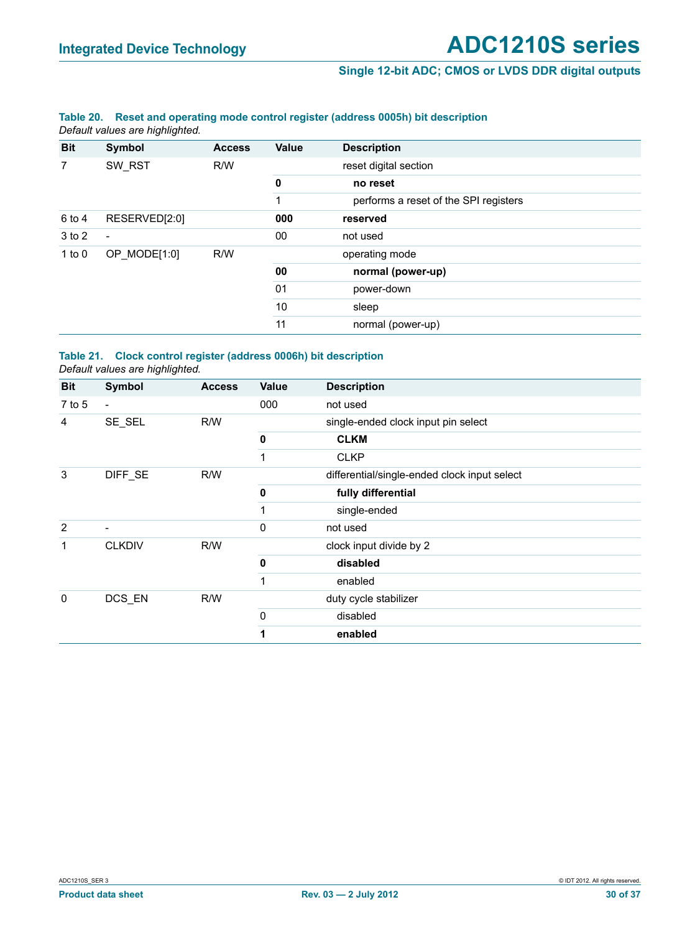#### **Single 12-bit ADC; CMOS or LVDS DDR digital outputs**

#### **Table 20. Reset and operating mode control register (address 0005h) bit description** *Default values are highlighted.*

| <b>Bit</b> | Symbol         | <b>Access</b> | <b>Value</b> | <b>Description</b>                    |
|------------|----------------|---------------|--------------|---------------------------------------|
| 7          | SW RST         | R/W           |              | reset digital section                 |
|            |                |               | 0            | no reset                              |
|            |                |               | 1            | performs a reset of the SPI registers |
| 6 to 4     | RESERVED[2:0]  |               | 000          | reserved                              |
| 3 to 2     | $\blacksquare$ |               | 00           | not used                              |
| 1 to $0$   | OP_MODE[1:0]   | R/W           |              | operating mode                        |
|            |                |               | 00           | normal (power-up)                     |
|            |                |               | 01           | power-down                            |
|            |                |               | 10           | sleep                                 |
|            |                |               | 11           | normal (power-up)                     |

#### **Table 21. Clock control register (address 0006h) bit description** *Default values are highlighted.*

| <b>Bit</b>     | Symbol                   | <b>Access</b> | Value       | <b>Description</b>                           |
|----------------|--------------------------|---------------|-------------|----------------------------------------------|
| $7$ to 5       | $\blacksquare$           |               | 000         | not used                                     |
| 4              | SE_SEL                   | R/W           |             | single-ended clock input pin select          |
|                |                          |               | $\mathbf 0$ | <b>CLKM</b>                                  |
|                |                          |               | 1           | <b>CLKP</b>                                  |
| 3              | DIFF SE                  | R/W           |             | differential/single-ended clock input select |
|                |                          |               | 0           | fully differential                           |
|                |                          |               |             | single-ended                                 |
| $\overline{2}$ | $\overline{\phantom{a}}$ |               | 0           | not used                                     |
| 1              | <b>CLKDIV</b>            | R/W           |             | clock input divide by 2                      |
|                |                          |               | 0           | disabled                                     |
|                |                          |               | 1           | enabled                                      |
| 0              | DCS_EN                   | R/W           |             | duty cycle stabilizer                        |
|                |                          |               | 0           | disabled                                     |
|                |                          |               | 1           | enabled                                      |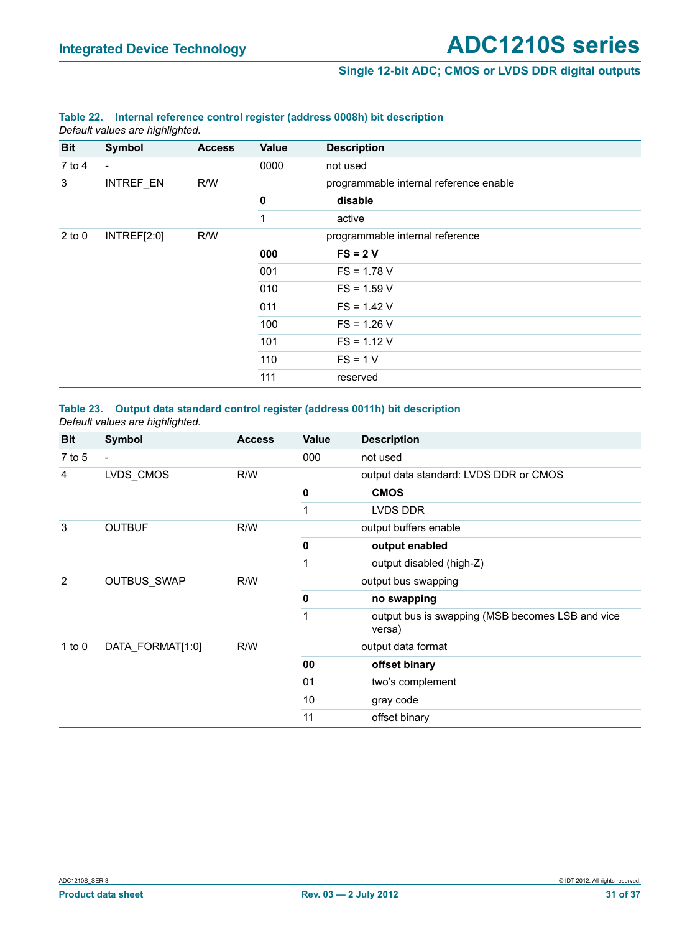#### **Single 12-bit ADC; CMOS or LVDS DDR digital outputs**

#### **Table 22. Internal reference control register (address 0008h) bit description**

*Default values are highlighted.*

| <b>Bit</b> | <b>Symbol</b>            | <b>Access</b> | Value       | <b>Description</b>                     |
|------------|--------------------------|---------------|-------------|----------------------------------------|
|            |                          |               |             |                                        |
| $7$ to 4   | $\overline{\phantom{a}}$ |               | 0000        | not used                               |
| 3          | INTREF_EN                | R/W           |             | programmable internal reference enable |
|            |                          |               | $\mathbf 0$ | disable                                |
|            |                          |               | 1           | active                                 |
| $2$ to $0$ | INTREF[2:0]              | R/W           |             | programmable internal reference        |
|            |                          |               | 000         | $FS = 2V$                              |
|            |                          |               | 001         | $FS = 1.78 V$                          |
|            |                          |               | 010         | $FS = 1.59 V$                          |
|            |                          |               | 011         | $FS = 1.42 V$                          |
|            |                          |               | 100         | $FS = 1.26 V$                          |
|            |                          |               | 101         | $FS = 1.12 V$                          |
|            |                          |               | 110         | $FS = 1 V$                             |
|            |                          |               | 111         | reserved                               |

#### **Table 23. Output data standard control register (address 0011h) bit description** *Default values are highlighted.*

| <b>Bit</b> | Symbol                   | <b>Access</b> | <b>Value</b> | <b>Description</b>                                         |
|------------|--------------------------|---------------|--------------|------------------------------------------------------------|
| $7$ to 5   | $\overline{\phantom{a}}$ |               | 000          | not used                                                   |
| 4          | LVDS CMOS                | R/W           |              | output data standard: LVDS DDR or CMOS                     |
|            |                          |               | 0            | <b>CMOS</b>                                                |
|            |                          |               | 1            | LVDS DDR                                                   |
| 3          | <b>OUTBUF</b>            | R/W           |              | output buffers enable                                      |
|            |                          |               | $\mathbf 0$  | output enabled                                             |
|            |                          |               | 1            | output disabled (high-Z)                                   |
| 2          | OUTBUS_SWAP              | R/W           |              | output bus swapping                                        |
|            |                          |               | $\mathbf 0$  | no swapping                                                |
|            |                          |               | 1            | output bus is swapping (MSB becomes LSB and vice<br>versa) |
| 1 to $0$   | DATA FORMAT[1:0]         | R/W           |              | output data format                                         |
|            |                          |               | 00           | offset binary                                              |
|            |                          |               | 01           | two's complement                                           |
|            |                          |               | 10           | gray code                                                  |
|            |                          |               | 11           | offset binary                                              |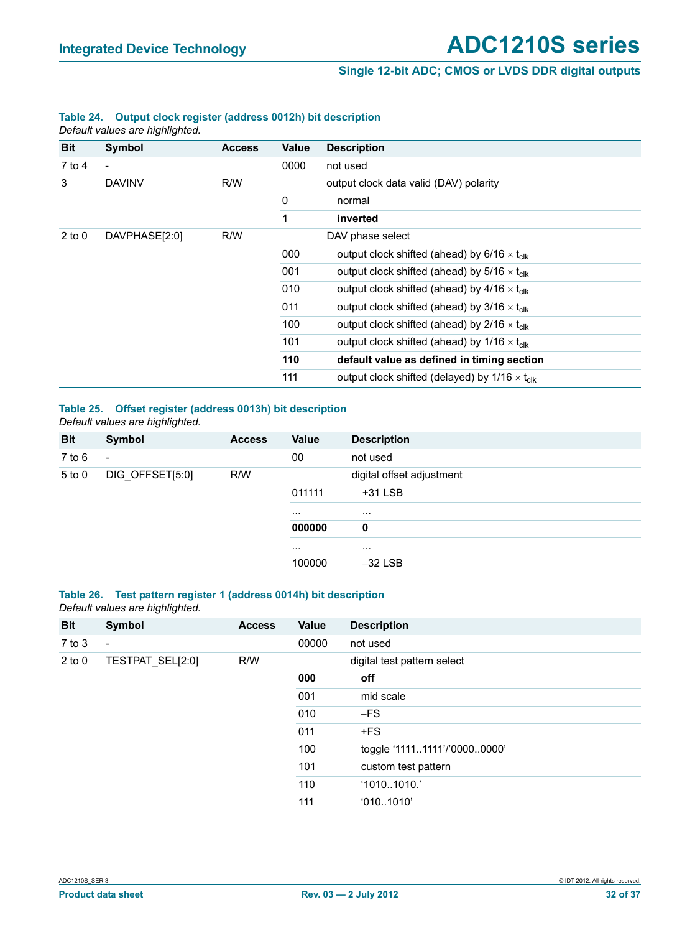#### **Single 12-bit ADC; CMOS or LVDS DDR digital outputs**

#### **Table 24. Output clock register (address 0012h) bit description** *Default values are highlighted.*

**Bit Symbol Access Value Description** 7 to 4 - 0000 not used 3 DAVINV R/W output clock data valid (DAV) polarity 0 normal **1 inverted** 2 to 0 DAVPHASE[2:0] R/W DAV phase select 000 output clock shifted (ahead) by  $6/16 \times t_{\text{clk}}$ 001 output clock shifted (ahead) by  $5/16 \times t_{c}$ 010 output clock shifted (ahead) by  $4/16 \times t_{c}$ 011 output clock shifted (ahead) by  $3/16 \times t_{c}$ 100 output clock shifted (ahead) by  $2/16 \times t_{\text{clk}}$ 101 output clock shifted (ahead) by  $1/16 \times t_{c}$ **110 default value as defined in timing section** 111 output clock shifted (delayed) by  $1/16 \times t_{\text{clk}}$ 

## **Table 25. Offset register (address 0013h) bit description**

*Default values are highlighted.* **Bit Symbol Access Value Description** 7 to 6 - 00 not used 5 to 0 DIG\_OFFSET[5:0] R/W digital offset adjustment 011111 +31 LSB ... ... **000000 0** ... ... ... ... ... 100000 -32 LSB

#### **Table 26. Test pattern register 1 (address 0014h) bit description** *Default values are highlighted.*

| <b>Bit</b> | Symbol                   | <b>Access</b> | Value | <b>Description</b>           |
|------------|--------------------------|---------------|-------|------------------------------|
| $7$ to $3$ | $\overline{\phantom{a}}$ |               | 00000 | not used                     |
| $2$ to $0$ | TESTPAT_SEL[2:0]         | R/W           |       | digital test pattern select  |
|            |                          |               | 000   | off                          |
|            |                          |               | 001   | mid scale                    |
|            |                          |               | 010   | $-FS$                        |
|            |                          |               | 011   | $+FS$                        |
|            |                          |               | 100   | toggle '11111111'/'00000000' |
|            |                          |               | 101   | custom test pattern          |
|            |                          |               | 110   | '10101010.'                  |
|            |                          |               | 111   | '0101010'                    |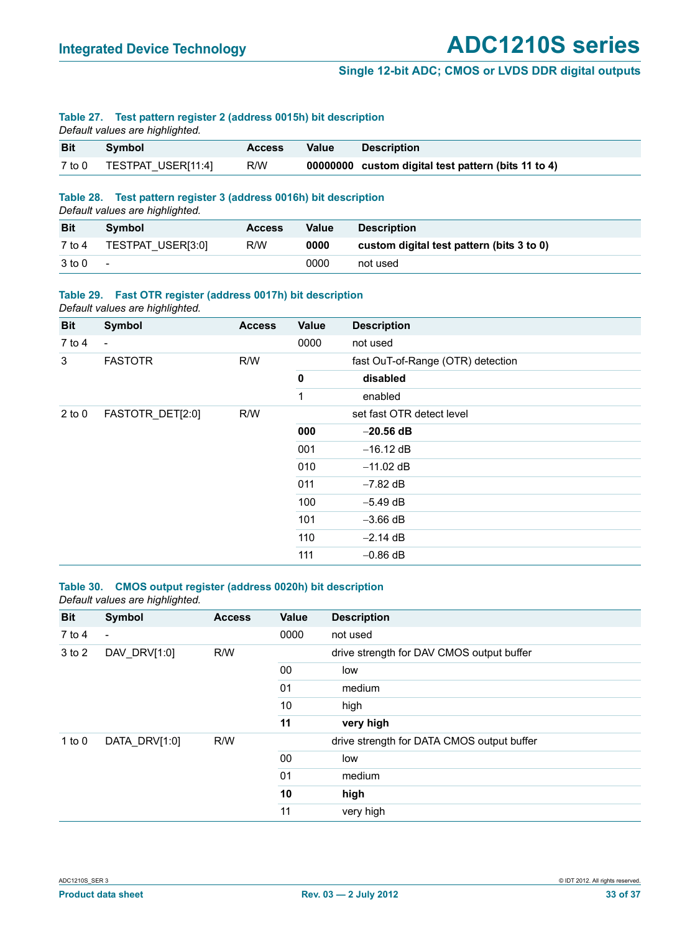#### **Single 12-bit ADC; CMOS or LVDS DDR digital outputs**

#### **Table 27. Test pattern register 2 (address 0015h) bit description**

*Default values are highlighted.*

| <b>Bit</b> | Symbol                    | <b>Access</b> | Value | <b>Description</b>                                  |
|------------|---------------------------|---------------|-------|-----------------------------------------------------|
|            | 7 to 0 TESTPAT USER[11:4] | R/W           |       | 00000000 custom digital test pattern (bits 11 to 4) |

#### **Table 28. Test pattern register 3 (address 0016h) bit description**

*Default values are highlighted.*

| <b>Bit</b> | Symbol                   | <b>Access</b> | Value | <b>Description</b>                        |
|------------|--------------------------|---------------|-------|-------------------------------------------|
| 7 to 4     | TESTPAT USER[3:0]        | R/W           | 0000  | custom digital test pattern (bits 3 to 0) |
| 3 to 0     | $\overline{\phantom{a}}$ |               | 0000  | not used                                  |

#### **Table 29. Fast OTR register (address 0017h) bit description** *Default values are highlighted.*

| <b>Bit</b> | Symbol                   | <b>Access</b> | Value | <b>Description</b>                |
|------------|--------------------------|---------------|-------|-----------------------------------|
| 7 to 4     | $\overline{\phantom{a}}$ |               | 0000  | not used                          |
| 3          | <b>FASTOTR</b>           | R/W           |       | fast OuT-of-Range (OTR) detection |
|            |                          |               | 0     | disabled                          |
|            |                          |               | 1     | enabled                           |
| $2$ to $0$ | FASTOTR_DET[2:0]         | R/W           |       | set fast OTR detect level         |
|            |                          |               | 000   | $-20.56$ dB                       |
|            |                          |               | 001   | $-16.12$ dB                       |
|            |                          |               | 010   | $-11.02$ dB                       |
|            |                          |               | 011   | $-7.82$ dB                        |
|            |                          |               | 100   | $-5.49$ dB                        |
|            |                          |               | 101   | $-3.66$ dB                        |
|            |                          |               | 110   | $-2.14$ dB                        |
|            |                          |               | 111   | $-0.86$ dB                        |

#### **Table 30. CMOS output register (address 0020h) bit description** *Default values are highlighted.*

| <b>Bit</b> | Symbol                   | <b>Access</b> | Value | <b>Description</b>                         |
|------------|--------------------------|---------------|-------|--------------------------------------------|
| $7$ to 4   | $\overline{\phantom{a}}$ |               | 0000  | not used                                   |
| 3 to 2     | DAV DRV[1:0]             | R/W           |       | drive strength for DAV CMOS output buffer  |
|            |                          |               | 00    | low                                        |
|            |                          |               | 01    | medium                                     |
|            |                          |               | 10    | high                                       |
|            |                          |               | 11    | very high                                  |
| 1 to $0$   | DATA DRV[1:0]            | R/W           |       | drive strength for DATA CMOS output buffer |
|            |                          |               | 00    | low                                        |
|            |                          |               | 01    | medium                                     |
|            |                          |               | 10    | high                                       |
|            |                          |               | 11    | very high                                  |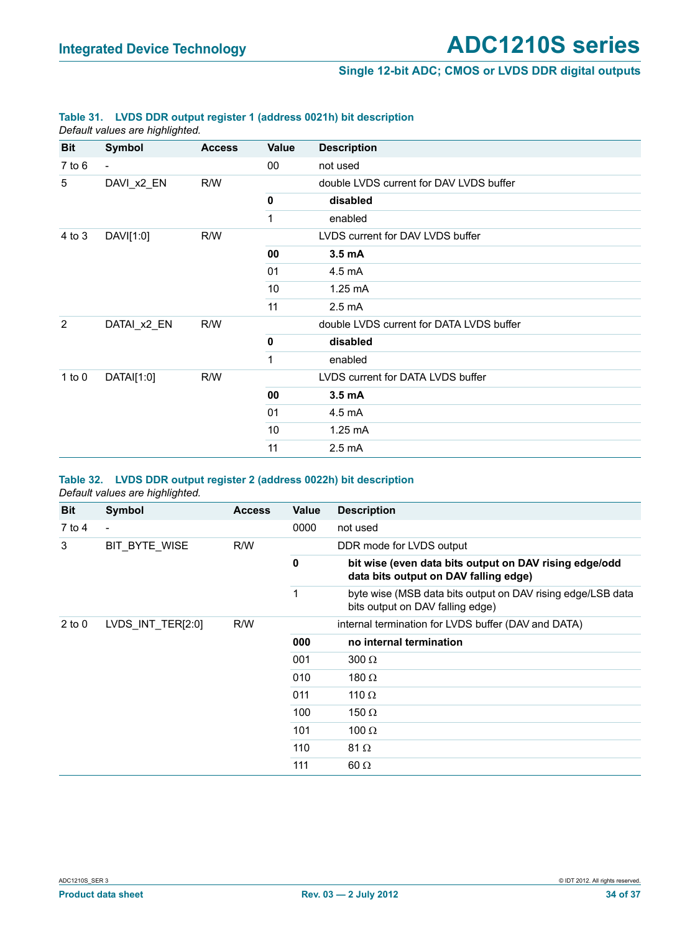#### **Single 12-bit ADC; CMOS or LVDS DDR digital outputs**

#### **Table 31. LVDS DDR output register 1 (address 0021h) bit description**

*Default values are highlighted.*

| <b>Bit</b>     | Symbol         | <b>Access</b> | Value     | <b>Description</b>                       |
|----------------|----------------|---------------|-----------|------------------------------------------|
| $7$ to $6$     | $\blacksquare$ |               | 00        | not used                                 |
| 5              | DAVI_x2_EN     | R/W           |           | double LVDS current for DAV LVDS buffer  |
|                |                |               | $\pmb{0}$ | disabled                                 |
|                |                |               | 1         | enabled                                  |
| 4 to 3         | DAVI[1:0]      | R/W           |           | LVDS current for DAV LVDS buffer         |
|                |                |               | 00        | 3.5 mA                                   |
|                |                |               | 01        | 4.5 mA                                   |
|                |                |               | 10        | 1.25 mA                                  |
|                |                |               | 11        | $2.5 \text{ mA}$                         |
| $\overline{2}$ | DATAI_x2_EN    | R/W           |           | double LVDS current for DATA LVDS buffer |
|                |                |               | 0         | disabled                                 |
|                |                |               | 1         | enabled                                  |
| 1 to $0$       | DATAI[1:0]     | R/W           |           | LVDS current for DATA LVDS buffer        |
|                |                |               | 00        | 3.5 <sub>m</sub> A                       |
|                |                |               | 01        | 4.5 mA                                   |
|                |                |               | 10        | $1.25 \text{ mA}$                        |
|                |                |               | 11        | $2.5 \text{ mA}$                         |

#### **Table 32. LVDS DDR output register 2 (address 0022h) bit description** *Default values are highlighted.*

| <b>Bit</b> | Symbol                                           | <b>Access</b> | Value | <b>Description</b>                                                                              |
|------------|--------------------------------------------------|---------------|-------|-------------------------------------------------------------------------------------------------|
| 7 to 4     | $\blacksquare$                                   |               | 0000  | not used                                                                                        |
| 3          | BIT BYTE WISE<br>R/W<br>DDR mode for LVDS output |               |       |                                                                                                 |
|            |                                                  |               | 0     | bit wise (even data bits output on DAV rising edge/odd<br>data bits output on DAV falling edge) |
|            |                                                  |               | 1     | byte wise (MSB data bits output on DAV rising edge/LSB data<br>bits output on DAV falling edge) |
| $2$ to $0$ | LVDS INT TER[2:0]                                | R/W           |       | internal termination for LVDS buffer (DAV and DATA)                                             |
|            |                                                  |               | 000   | no internal termination                                                                         |
|            |                                                  |               | 001   | $300 \Omega$                                                                                    |
|            |                                                  |               | 010   | 180 $\Omega$                                                                                    |
|            |                                                  |               | 011   | 110 $\Omega$                                                                                    |
|            |                                                  |               | 100   | 150 $\Omega$                                                                                    |
|            |                                                  |               | 101   | 100 $\Omega$                                                                                    |
|            |                                                  |               | 110   | 81 $\Omega$                                                                                     |
|            |                                                  |               | 111   | $60 \Omega$                                                                                     |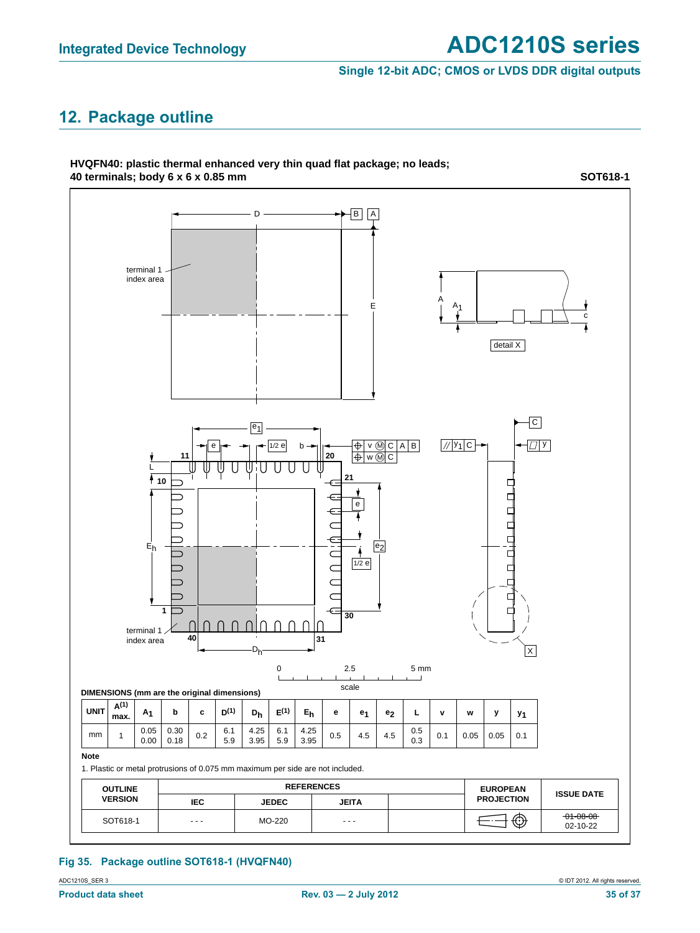**SOT618-1**

#### **Single 12-bit ADC; CMOS or LVDS DDR digital outputs**

## **12. Package outline**

**HVQFN40: plastic thermal enhanced very thin quad flat package; no leads; 40 terminals; body 6 x 6 x 0.85 mm**



#### **Fig 35. Package outline SOT618-1 (HVQFN40)**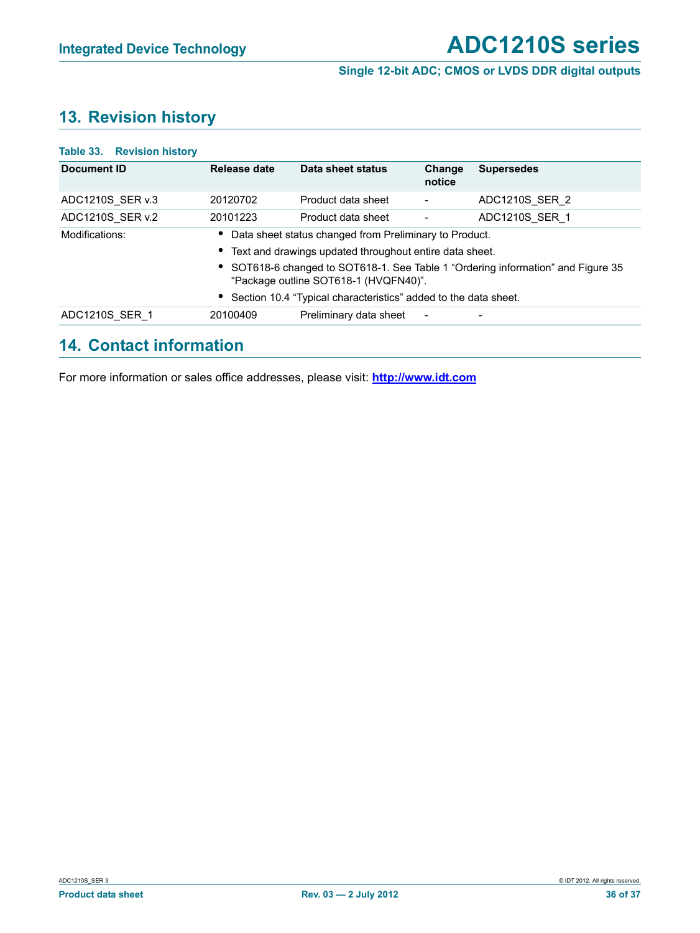#### **Single 12-bit ADC; CMOS or LVDS DDR digital outputs**

## **13. Revision history**

| Table 33. Revision history |                                                                                                                           |                                                                   |                          |                   |  |  |  |
|----------------------------|---------------------------------------------------------------------------------------------------------------------------|-------------------------------------------------------------------|--------------------------|-------------------|--|--|--|
| Document ID                | Release date                                                                                                              | Data sheet status                                                 | Change<br>notice         | <b>Supersedes</b> |  |  |  |
| ADC1210S SER v.3           | 20120702                                                                                                                  | Product data sheet                                                | $\overline{\phantom{a}}$ | ADC1210S SER 2    |  |  |  |
| ADC1210S SER v.2           | 20101223                                                                                                                  | Product data sheet                                                |                          | ADC1210S SER 1    |  |  |  |
| Modifications:             | • Data sheet status changed from Preliminary to Product.                                                                  |                                                                   |                          |                   |  |  |  |
|                            | • Text and drawings updated throughout entire data sheet.                                                                 |                                                                   |                          |                   |  |  |  |
|                            | • SOT618-6 changed to SOT618-1. See Table 1 "Ordering information" and Figure 35<br>"Package outline SOT618-1 (HVQFN40)". |                                                                   |                          |                   |  |  |  |
|                            |                                                                                                                           | • Section 10.4 "Typical characteristics" added to the data sheet. |                          |                   |  |  |  |
| ADC1210S SER 1             | 20100409                                                                                                                  | Preliminary data sheet                                            | $\overline{\phantom{a}}$ |                   |  |  |  |
|                            |                                                                                                                           |                                                                   |                          |                   |  |  |  |

## **14. Contact information**

For more information or sales office addresses, please visit: **<http://www.idt.com>**